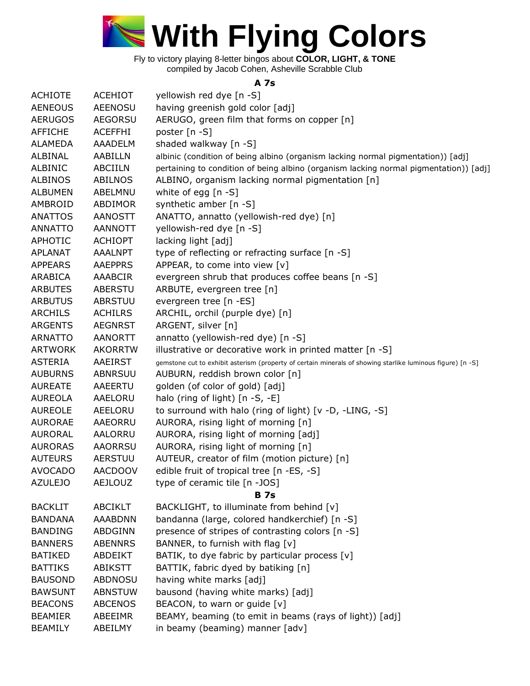

## **A 7s**

| <b>ACHIOTE</b> | <b>ACEHIOT</b> | yellowish red dye [n -S]                                                                                   |
|----------------|----------------|------------------------------------------------------------------------------------------------------------|
| <b>AENEOUS</b> | <b>AEENOSU</b> | having greenish gold color [adj]                                                                           |
| <b>AERUGOS</b> | <b>AEGORSU</b> | AERUGO, green film that forms on copper [n]                                                                |
| <b>AFFICHE</b> | <b>ACEFFHI</b> | poster [n -S]                                                                                              |
| <b>ALAMEDA</b> | <b>AAADELM</b> | shaded walkway [n -S]                                                                                      |
| ALBINAL        | AABILLN        | albinic (condition of being albino (organism lacking normal pigmentation)) [adj]                           |
| ALBINIC        | <b>ABCIILN</b> | pertaining to condition of being albino (organism lacking normal pigmentation)) [adj]                      |
| <b>ALBINOS</b> | ABILNOS        | ALBINO, organism lacking normal pigmentation [n]                                                           |
| <b>ALBUMEN</b> | ABELMNU        | white of egg $[n - S]$                                                                                     |
| AMBROID        | ABDIMOR        | synthetic amber [n -S]                                                                                     |
| <b>ANATTOS</b> | <b>AANOSTT</b> | ANATTO, annatto (yellowish-red dye) [n]                                                                    |
| <b>ANNATTO</b> | <b>AANNOTT</b> | yellowish-red dye [n -S]                                                                                   |
| <b>APHOTIC</b> | <b>ACHIOPT</b> | lacking light [adj]                                                                                        |
| <b>APLANAT</b> | <b>AAALNPT</b> | type of reflecting or refracting surface [n -S]                                                            |
| <b>APPEARS</b> | <b>AAEPPRS</b> | APPEAR, to come into view [v]                                                                              |
| ARABICA        | AAABCIR        | evergreen shrub that produces coffee beans [n -S]                                                          |
| <b>ARBUTES</b> | <b>ABERSTU</b> | ARBUTE, evergreen tree [n]                                                                                 |
| <b>ARBUTUS</b> | <b>ABRSTUU</b> | evergreen tree [n -ES]                                                                                     |
| <b>ARCHILS</b> | <b>ACHILRS</b> | ARCHIL, orchil (purple dye) [n]                                                                            |
| <b>ARGENTS</b> | <b>AEGNRST</b> | ARGENT, silver [n]                                                                                         |
| <b>ARNATTO</b> | <b>AANORTT</b> | annatto (yellowish-red dye) [n -S]                                                                         |
| <b>ARTWORK</b> | <b>AKORRTW</b> | illustrative or decorative work in printed matter [n -S]                                                   |
| <b>ASTERIA</b> | AAEIRST        | gemstone cut to exhibit asterism (property of certain minerals of showing starlike luminous figure) [n -S] |
| <b>AUBURNS</b> | <b>ABNRSUU</b> | AUBURN, reddish brown color [n]                                                                            |
| <b>AUREATE</b> | <b>AAEERTU</b> | golden (of color of gold) [adj]                                                                            |
| <b>AUREOLA</b> | AAELORU        | halo (ring of light) [n -S, -E]                                                                            |
| <b>AUREOLE</b> | AEELORU        | to surround with halo (ring of light) [v -D, -LING, -S]                                                    |
| <b>AURORAE</b> | AAEORRU        | AURORA, rising light of morning [n]                                                                        |
| <b>AURORAL</b> | AALORRU        | AURORA, rising light of morning [adj]                                                                      |
| <b>AURORAS</b> | <b>AAORRSU</b> | AURORA, rising light of morning [n]                                                                        |
| <b>AUTEURS</b> | <b>AERSTUU</b> | AUTEUR, creator of film (motion picture) [n]                                                               |
| <b>AVOCADO</b> | <b>AACDOOV</b> | edible fruit of tropical tree [n -ES, -S]                                                                  |
| <b>AZULEJO</b> | <b>AEJLOUZ</b> | type of ceramic tile [n -JOS]                                                                              |
|                |                | <b>B</b> 7s                                                                                                |
| <b>BACKLIT</b> | <b>ABCIKLT</b> | BACKLIGHT, to illuminate from behind [v]                                                                   |
| <b>BANDANA</b> | <b>AAABDNN</b> | bandanna (large, colored handkerchief) [n -S]                                                              |
| <b>BANDING</b> | <b>ABDGINN</b> | presence of stripes of contrasting colors [n -S]                                                           |
| <b>BANNERS</b> | <b>ABENNRS</b> | BANNER, to furnish with flag [v]                                                                           |
| BATIKED        | ABDEIKT        | BATIK, to dye fabric by particular process [v]                                                             |
| <b>BATTIKS</b> | <b>ABIKSTT</b> | BATTIK, fabric dyed by batiking [n]                                                                        |
| <b>BAUSOND</b> | <b>ABDNOSU</b> | having white marks [adj]                                                                                   |
| <b>BAWSUNT</b> | <b>ABNSTUW</b> | bausond (having white marks) [adj]                                                                         |
| <b>BEACONS</b> | <b>ABCENOS</b> | BEACON, to warn or guide [v]                                                                               |
| <b>BEAMIER</b> | ABEEIMR        | BEAMY, beaming (to emit in beams (rays of light)) [adj]                                                    |
| <b>BEAMILY</b> | ABEILMY        | in beamy (beaming) manner [adv]                                                                            |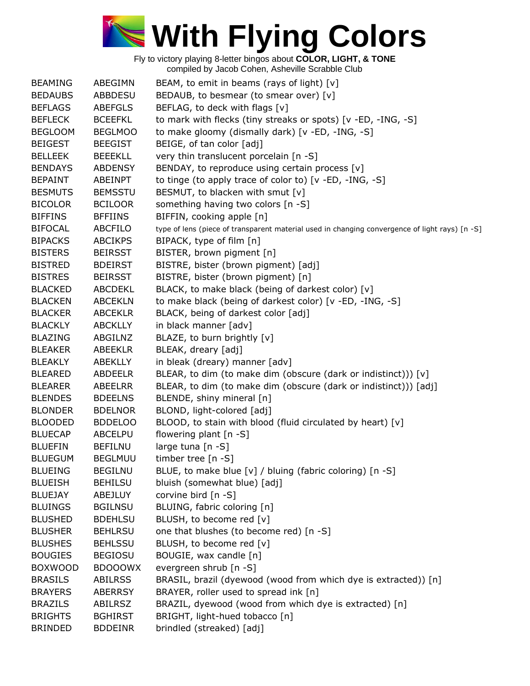

| <b>BEAMING</b> | ABEGIMN        | BEAM, to emit in beams (rays of light) $[v]$                                                   |
|----------------|----------------|------------------------------------------------------------------------------------------------|
| <b>BEDAUBS</b> | <b>ABBDESU</b> | BEDAUB, to besmear (to smear over) [v]                                                         |
| <b>BEFLAGS</b> | <b>ABEFGLS</b> | BEFLAG, to deck with flags [v]                                                                 |
| <b>BEFLECK</b> | <b>BCEEFKL</b> | to mark with flecks (tiny streaks or spots) [v -ED, -ING, -S]                                  |
| <b>BEGLOOM</b> | <b>BEGLMOO</b> | to make gloomy (dismally dark) [v -ED, -ING, -S]                                               |
| <b>BEIGEST</b> | <b>BEEGIST</b> | BEIGE, of tan color [adj]                                                                      |
| <b>BELLEEK</b> | <b>BEEEKLL</b> | very thin translucent porcelain [n -S]                                                         |
| <b>BENDAYS</b> | <b>ABDENSY</b> | BENDAY, to reproduce using certain process [v]                                                 |
| <b>BEPAINT</b> | ABEINPT        | to tinge (to apply trace of color to) [v -ED, -ING, -S]                                        |
| <b>BESMUTS</b> | <b>BEMSSTU</b> | BESMUT, to blacken with smut [v]                                                               |
| <b>BICOLOR</b> | <b>BCILOOR</b> | something having two colors [n -S]                                                             |
| <b>BIFFINS</b> | <b>BFFIINS</b> | BIFFIN, cooking apple [n]                                                                      |
| <b>BIFOCAL</b> | ABCFILO        | type of lens (piece of transparent material used in changing convergence of light rays) [n -S] |
| <b>BIPACKS</b> | <b>ABCIKPS</b> | BIPACK, type of film [n]                                                                       |
| <b>BISTERS</b> | <b>BEIRSST</b> | BISTER, brown pigment [n]                                                                      |
| <b>BISTRED</b> | <b>BDEIRST</b> | BISTRE, bister (brown pigment) [adj]                                                           |
| <b>BISTRES</b> | <b>BEIRSST</b> | BISTRE, bister (brown pigment) [n]                                                             |
| <b>BLACKED</b> | ABCDEKL        | BLACK, to make black (being of darkest color) [v]                                              |
|                |                |                                                                                                |
| <b>BLACKEN</b> | <b>ABCEKLN</b> | to make black (being of darkest color) [v -ED, -ING, -S]                                       |
| <b>BLACKER</b> | <b>ABCEKLR</b> | BLACK, being of darkest color [adj]                                                            |
| <b>BLACKLY</b> | <b>ABCKLLY</b> | in black manner [adv]                                                                          |
| <b>BLAZING</b> | ABGILNZ        | BLAZE, to burn brightly [v]                                                                    |
| <b>BLEAKER</b> | ABEEKLR        | BLEAK, dreary [adj]                                                                            |
| <b>BLEAKLY</b> | ABEKLLY        | in bleak (dreary) manner [adv]                                                                 |
| <b>BLEARED</b> | ABDEELR        | BLEAR, to dim (to make dim (obscure (dark or indistinct))) [v]                                 |
| <b>BLEARER</b> | ABEELRR        | BLEAR, to dim (to make dim (obscure (dark or indistinct))) [adj]                               |
| <b>BLENDES</b> | <b>BDEELNS</b> | BLENDE, shiny mineral [n]                                                                      |
| <b>BLONDER</b> | <b>BDELNOR</b> | BLOND, light-colored [adj]                                                                     |
| <b>BLOODED</b> | <b>BDDELOO</b> | BLOOD, to stain with blood (fluid circulated by heart) [v]                                     |
| <b>BLUECAP</b> | ABCELPU        | flowering plant [n -S]                                                                         |
| <b>BLUEFIN</b> | <b>BEFILNU</b> | large tuna [n -S]                                                                              |
| <b>BLUEGUM</b> | <b>BEGLMUU</b> | timber tree [n -S]                                                                             |
| <b>BLUEING</b> | <b>BEGILNU</b> | BLUE, to make blue [v] / bluing (fabric coloring) [n -S]                                       |
| <b>BLUEISH</b> | <b>BEHILSU</b> | bluish (somewhat blue) [adj]                                                                   |
| <b>BLUEJAY</b> | ABEJLUY        | corvine bird [n -S]                                                                            |
| <b>BLUINGS</b> | <b>BGILNSU</b> | BLUING, fabric coloring [n]                                                                    |
| <b>BLUSHED</b> | <b>BDEHLSU</b> | BLUSH, to become red [v]                                                                       |
| <b>BLUSHER</b> | <b>BEHLRSU</b> | one that blushes (to become red) [n -S]                                                        |
| <b>BLUSHES</b> | <b>BEHLSSU</b> | BLUSH, to become red [v]                                                                       |
| <b>BOUGIES</b> | <b>BEGIOSU</b> | BOUGIE, wax candle [n]                                                                         |
| <b>BOXWOOD</b> | <b>BDOOOWX</b> | evergreen shrub [n -S]                                                                         |
| <b>BRASILS</b> | <b>ABILRSS</b> | BRASIL, brazil (dyewood (wood from which dye is extracted)) [n]                                |
| <b>BRAYERS</b> | <b>ABERRSY</b> | BRAYER, roller used to spread ink [n]                                                          |
| <b>BRAZILS</b> | ABILRSZ        | BRAZIL, dyewood (wood from which dye is extracted) [n]                                         |
| <b>BRIGHTS</b> | <b>BGHIRST</b> | BRIGHT, light-hued tobacco [n]                                                                 |
| <b>BRINDED</b> | <b>BDDEINR</b> | brindled (streaked) [adj]                                                                      |
|                |                |                                                                                                |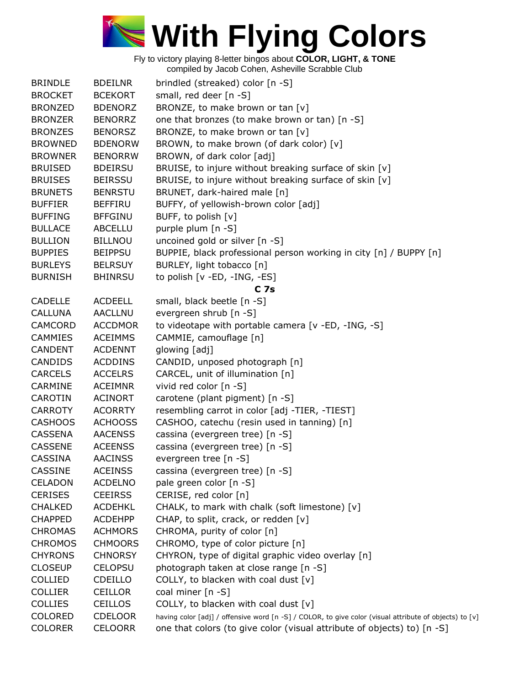

| <b>BRINDLE</b>                   | <b>BDEILNR</b> | brindled (streaked) color [n -S]                                                                       |
|----------------------------------|----------------|--------------------------------------------------------------------------------------------------------|
| <b>BROCKET</b>                   | <b>BCEKORT</b> | small, red deer [n -S]                                                                                 |
| <b>BRONZED</b>                   | <b>BDENORZ</b> | BRONZE, to make brown or tan [v]                                                                       |
| <b>BRONZER</b>                   | <b>BENORRZ</b> | one that bronzes (to make brown or tan) [n -S]                                                         |
| <b>BRONZES</b>                   | <b>BENORSZ</b> | BRONZE, to make brown or tan [v]                                                                       |
| <b>BROWNED</b>                   | <b>BDENORW</b> | BROWN, to make brown (of dark color) [v]                                                               |
| <b>BROWNER</b>                   | <b>BENORRW</b> |                                                                                                        |
|                                  | <b>BDEIRSU</b> | BROWN, of dark color [adj]                                                                             |
| <b>BRUISED</b>                   |                | BRUISE, to injure without breaking surface of skin [v]                                                 |
| <b>BRUISES</b><br><b>BRUNETS</b> | <b>BEIRSSU</b> | BRUISE, to injure without breaking surface of skin [v]                                                 |
|                                  | <b>BENRSTU</b> | BRUNET, dark-haired male [n]                                                                           |
| <b>BUFFIER</b>                   | <b>BEFFIRU</b> | BUFFY, of yellowish-brown color [adj]                                                                  |
| <b>BUFFING</b>                   | <b>BFFGINU</b> | BUFF, to polish [v]                                                                                    |
| <b>BULLACE</b>                   | <b>ABCELLU</b> | purple plum [n -S]                                                                                     |
| <b>BULLION</b>                   | <b>BILLNOU</b> | uncoined gold or silver [n -S]                                                                         |
| <b>BUPPIES</b>                   | <b>BEIPPSU</b> | BUPPIE, black professional person working in city [n] / BUPPY [n]                                      |
| <b>BURLEYS</b>                   | <b>BELRSUY</b> | BURLEY, light tobacco [n]                                                                              |
| <b>BURNISH</b>                   | <b>BHINRSU</b> | to polish [v -ED, -ING, -ES]                                                                           |
|                                  |                | <b>C</b> 7s                                                                                            |
| <b>CADELLE</b>                   | <b>ACDEELL</b> | small, black beetle [n -S]                                                                             |
| <b>CALLUNA</b>                   | AACLLNU        | evergreen shrub [n -S]                                                                                 |
| CAMCORD                          | <b>ACCDMOR</b> | to videotape with portable camera [v -ED, -ING, -S]                                                    |
| <b>CAMMIES</b>                   | <b>ACEIMMS</b> | CAMMIE, camouflage [n]                                                                                 |
| <b>CANDENT</b>                   | <b>ACDENNT</b> | glowing [adj]                                                                                          |
| <b>CANDIDS</b>                   | <b>ACDDINS</b> | CANDID, unposed photograph [n]                                                                         |
| <b>CARCELS</b>                   | <b>ACCELRS</b> | CARCEL, unit of illumination [n]                                                                       |
| CARMINE                          | <b>ACEIMNR</b> | vivid red color [n -S]                                                                                 |
| CAROTIN                          | <b>ACINORT</b> | carotene (plant pigment) [n -S]                                                                        |
| <b>CARROTY</b>                   | <b>ACORRTY</b> | resembling carrot in color [adj -TIER, -TIEST]                                                         |
| <b>CASHOOS</b>                   | <b>ACHOOSS</b> | CASHOO, catechu (resin used in tanning) [n]                                                            |
| <b>CASSENA</b>                   | <b>AACENSS</b> | cassina (evergreen tree) [n -S]                                                                        |
| <b>CASSENE</b>                   | <b>ACEENSS</b> | cassina (evergreen tree) [n -S]                                                                        |
| <b>CASSINA</b>                   | <b>AACINSS</b> | evergreen tree [n -S]                                                                                  |
| <b>CASSINE</b>                   | <b>ACEINSS</b> | cassina (evergreen tree) [n -S]                                                                        |
| <b>CELADON</b>                   | <b>ACDELNO</b> | pale green color [n -S]                                                                                |
| <b>CERISES</b>                   | <b>CEEIRSS</b> | CERISE, red color [n]                                                                                  |
| <b>CHALKED</b>                   | <b>ACDEHKL</b> | CHALK, to mark with chalk (soft limestone) [v]                                                         |
| <b>CHAPPED</b>                   | <b>ACDEHPP</b> | CHAP, to split, crack, or redden [v]                                                                   |
| <b>CHROMAS</b>                   | <b>ACHMORS</b> | CHROMA, purity of color [n]                                                                            |
| <b>CHROMOS</b>                   | <b>CHMOORS</b> | CHROMO, type of color picture [n]                                                                      |
| <b>CHYRONS</b>                   | <b>CHNORSY</b> | CHYRON, type of digital graphic video overlay [n]                                                      |
| <b>CLOSEUP</b>                   | <b>CELOPSU</b> | photograph taken at close range [n -S]                                                                 |
| <b>COLLIED</b>                   | CDEILLO        | COLLY, to blacken with coal dust $[v]$                                                                 |
| <b>COLLIER</b>                   | <b>CEILLOR</b> | coal miner [n -S]                                                                                      |
| <b>COLLIES</b>                   | <b>CEILLOS</b> | COLLY, to blacken with coal dust [v]                                                                   |
| <b>COLORED</b>                   | <b>CDELOOR</b> | having color [adj] / offensive word [n -S] / COLOR, to give color (visual attribute of objects) to [v] |
| <b>COLORER</b>                   | <b>CELOORR</b> | one that colors (to give color (visual attribute of objects) to) [n -S]                                |
|                                  |                |                                                                                                        |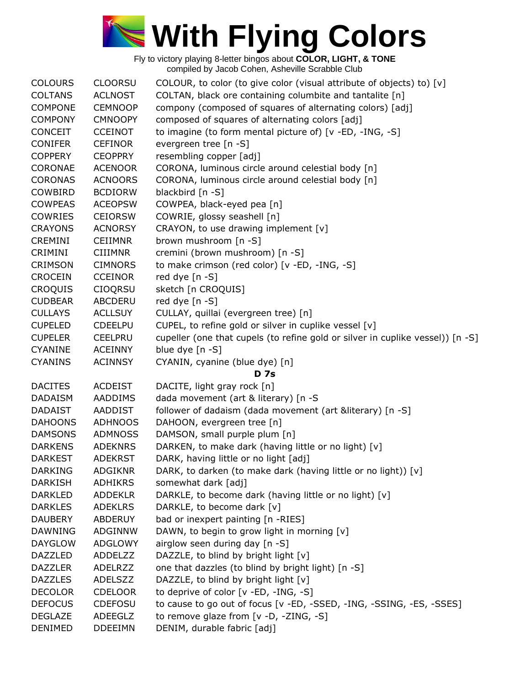

| <b>COLOURS</b> | <b>CLOORSU</b> | COLOUR, to color (to give color (visual attribute of objects) to) [v]          |
|----------------|----------------|--------------------------------------------------------------------------------|
| <b>COLTANS</b> | <b>ACLNOST</b> | COLTAN, black ore containing columbite and tantalite [n]                       |
| <b>COMPONE</b> | <b>CEMNOOP</b> | compony (composed of squares of alternating colors) [adj]                      |
| <b>COMPONY</b> | <b>CMNOOPY</b> | composed of squares of alternating colors [adj]                                |
| <b>CONCEIT</b> | <b>CCEINOT</b> | to imagine (to form mental picture of) [v -ED, -ING, -S]                       |
| <b>CONIFER</b> | <b>CEFINOR</b> | evergreen tree [n -S]                                                          |
| <b>COPPERY</b> | <b>CEOPPRY</b> | resembling copper [adj]                                                        |
| CORONAE        | <b>ACENOOR</b> | CORONA, luminous circle around celestial body [n]                              |
| <b>CORONAS</b> | <b>ACNOORS</b> | CORONA, luminous circle around celestial body [n]                              |
| COWBIRD        | <b>BCDIORW</b> | blackbird [n -S]                                                               |
| <b>COWPEAS</b> | <b>ACEOPSW</b> | COWPEA, black-eyed pea [n]                                                     |
| <b>COWRIES</b> | <b>CEIORSW</b> | COWRIE, glossy seashell [n]                                                    |
| <b>CRAYONS</b> | <b>ACNORSY</b> | CRAYON, to use drawing implement [v]                                           |
| CREMINI        | <b>CEIIMNR</b> | brown mushroom [n -S]                                                          |
| CRIMINI        | <b>CIIIMNR</b> | cremini (brown mushroom) [n -S]                                                |
| <b>CRIMSON</b> | <b>CIMNORS</b> | to make crimson (red color) [v -ED, -ING, -S]                                  |
| <b>CROCEIN</b> | <b>CCEINOR</b> | red dye [n -S]                                                                 |
| <b>CROQUIS</b> | <b>CIOQRSU</b> | sketch [n CROQUIS]                                                             |
| <b>CUDBEAR</b> | ABCDERU        | red dye [n -S]                                                                 |
| <b>CULLAYS</b> | <b>ACLLSUY</b> | CULLAY, quillai (evergreen tree) [n]                                           |
| <b>CUPELED</b> | <b>CDEELPU</b> | CUPEL, to refine gold or silver in cuplike vessel [v]                          |
| <b>CUPELER</b> | <b>CEELPRU</b> | cupeller (one that cupels (to refine gold or silver in cuplike vessel)) [n -S] |
| <b>CYANINE</b> | <b>ACEINNY</b> | blue dye [n -S]                                                                |
| <b>CYANINS</b> | <b>ACINNSY</b> | CYANIN, cyanine (blue dye) [n]                                                 |
|                |                | <b>D</b> 7s                                                                    |
| <b>DACITES</b> | <b>ACDEIST</b> | DACITE, light gray rock [n]                                                    |
| <b>DADAISM</b> | AADDIMS        | dada movement (art & literary) [n -S                                           |
| <b>DADAIST</b> | AADDIST        | follower of dadaism (dada movement (art &literary) [n -S]                      |
| <b>DAHOONS</b> | <b>ADHNOOS</b> | DAHOON, evergreen tree [n]                                                     |
| <b>DAMSONS</b> | <b>ADMNOSS</b> | DAMSON, small purple plum [n]                                                  |
| <b>DARKENS</b> | <b>ADEKNRS</b> | DARKEN, to make dark (having little or no light) [v]                           |
| <b>DARKEST</b> | <b>ADEKRST</b> | DARK, having little or no light [adj]                                          |
| <b>DARKING</b> | <b>ADGIKNR</b> | DARK, to darken (to make dark (having little or no light)) [v]                 |
| <b>DARKISH</b> | ADHIKRS        | somewhat dark [adj]                                                            |
| <b>DARKLED</b> | <b>ADDEKLR</b> | DARKLE, to become dark (having little or no light) [v]                         |
| <b>DARKLES</b> | <b>ADEKLRS</b> | DARKLE, to become dark [v]                                                     |
| <b>DAUBERY</b> | <b>ABDERUY</b> | bad or inexpert painting [n -RIES]                                             |
| <b>DAWNING</b> | ADGINNW        | DAWN, to begin to grow light in morning [v]                                    |
| <b>DAYGLOW</b> | <b>ADGLOWY</b> | airglow seen during day [n -S]                                                 |
| DAZZLED        | <b>ADDELZZ</b> | DAZZLE, to blind by bright light [v]                                           |
| <b>DAZZLER</b> | ADELRZZ        | one that dazzles (to blind by bright light) [n -S]                             |
| <b>DAZZLES</b> | <b>ADELSZZ</b> | DAZZLE, to blind by bright light [v]                                           |
| <b>DECOLOR</b> | <b>CDELOOR</b> | to deprive of color [v -ED, -ING, -S]                                          |
| <b>DEFOCUS</b> | <b>CDEFOSU</b> | to cause to go out of focus [v -ED, -SSED, -ING, -SSING, -ES, -SSES]           |
| <b>DEGLAZE</b> | ADEEGLZ        | to remove glaze from [v -D, -ZING, -S]                                         |
|                |                |                                                                                |
| <b>DENIMED</b> | <b>DDEEIMN</b> | DENIM, durable fabric [adj]                                                    |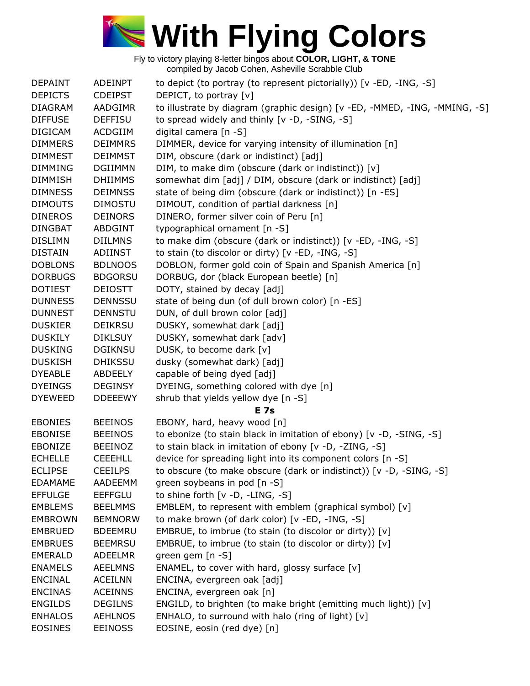

| DEPAINT        | <b>ADEINPT</b> | to depict (to portray (to represent pictorially)) [v -ED, -ING, -S]        |
|----------------|----------------|----------------------------------------------------------------------------|
| <b>DEPICTS</b> | <b>CDEIPST</b> | DEPICT, to portray [v]                                                     |
| <b>DIAGRAM</b> | <b>AADGIMR</b> | to illustrate by diagram (graphic design) [v -ED, -MMED, -ING, -MMING, -S] |
| <b>DIFFUSE</b> | <b>DEFFISU</b> | to spread widely and thinly [v -D, -SING, -S]                              |
| <b>DIGICAM</b> | <b>ACDGIIM</b> | digital camera [n -S]                                                      |
| <b>DIMMERS</b> | <b>DEIMMRS</b> | DIMMER, device for varying intensity of illumination [n]                   |
| <b>DIMMEST</b> | <b>DEIMMST</b> | DIM, obscure (dark or indistinct) [adj]                                    |
| <b>DIMMING</b> | <b>DGIIMMN</b> | DIM, to make dim (obscure (dark or indistinct)) [v]                        |
| <b>DIMMISH</b> | <b>DHIIMMS</b> | somewhat dim [adj] / DIM, obscure (dark or indistinct) [adj]               |
| <b>DIMNESS</b> | <b>DEIMNSS</b> | state of being dim (obscure (dark or indistinct)) [n -ES]                  |
| <b>DIMOUTS</b> | <b>DIMOSTU</b> | DIMOUT, condition of partial darkness [n]                                  |
| <b>DINEROS</b> | <b>DEINORS</b> | DINERO, former silver coin of Peru [n]                                     |
| <b>DINGBAT</b> | <b>ABDGINT</b> | typographical ornament [n -S]                                              |
| <b>DISLIMN</b> | <b>DIILMNS</b> | to make dim (obscure (dark or indistinct)) [v -ED, -ING, -S]               |
| <b>DISTAIN</b> | ADIINST        | to stain (to discolor or dirty) [v -ED, -ING, -S]                          |
| <b>DOBLONS</b> | <b>BDLNOOS</b> | DOBLON, former gold coin of Spain and Spanish America [n]                  |
| <b>DORBUGS</b> | <b>BDGORSU</b> | DORBUG, dor (black European beetle) [n]                                    |
| <b>DOTIEST</b> | <b>DEIOSTT</b> | DOTY, stained by decay [adj]                                               |
| <b>DUNNESS</b> | <b>DENNSSU</b> | state of being dun (of dull brown color) [n -ES]                           |
| <b>DUNNEST</b> | <b>DENNSTU</b> | DUN, of dull brown color [adj]                                             |
| <b>DUSKIER</b> | <b>DEIKRSU</b> | DUSKY, somewhat dark [adj]                                                 |
| <b>DUSKILY</b> | <b>DIKLSUY</b> | DUSKY, somewhat dark [adv]                                                 |
| <b>DUSKING</b> | <b>DGIKNSU</b> | DUSK, to become dark [v]                                                   |
| <b>DUSKISH</b> | <b>DHIKSSU</b> | dusky (somewhat dark) [adj]                                                |
| <b>DYEABLE</b> | ABDEELY        | capable of being dyed [adj]                                                |
| <b>DYEINGS</b> | <b>DEGINSY</b> | DYEING, something colored with dye [n]                                     |
| <b>DYEWEED</b> | <b>DDEEEWY</b> | shrub that yields yellow dye [n -S]                                        |
|                |                | <b>E</b> 7s                                                                |
| <b>EBONIES</b> | <b>BEEINOS</b> | EBONY, hard, heavy wood [n]                                                |
| <b>EBONISE</b> | <b>BEEINOS</b> | to ebonize (to stain black in imitation of ebony) [v -D, -SING, -S]        |
| EBONIZE        | <b>BEEINOZ</b> | to stain black in imitation of ebony [v -D, -ZING, -S]                     |
| <b>ECHELLE</b> | <b>CEEEHLL</b> | device for spreading light into its component colors [n -S]                |
| <b>ECLIPSE</b> | <b>CEEILPS</b> | to obscure (to make obscure (dark or indistinct)) [v -D, -SING, -S]        |
| <b>EDAMAME</b> | AADEEMM        | green soybeans in pod [n -S]                                               |
| <b>EFFULGE</b> | <b>EEFFGLU</b> | to shine forth [v -D, -LING, -S]                                           |
| <b>EMBLEMS</b> | <b>BEELMMS</b> | EMBLEM, to represent with emblem (graphical symbol) [v]                    |
| <b>EMBROWN</b> | <b>BEMNORW</b> | to make brown (of dark color) [v -ED, -ING, -S]                            |
| <b>EMBRUED</b> | <b>BDEEMRU</b> | EMBRUE, to imbrue (to stain (to discolor or dirty)) [v]                    |
| <b>EMBRUES</b> | <b>BEEMRSU</b> | EMBRUE, to imbrue (to stain (to discolor or dirty)) [v]                    |
| <b>EMERALD</b> | ADEELMR        | green gem [n -S]                                                           |
| <b>ENAMELS</b> | <b>AEELMNS</b> | ENAMEL, to cover with hard, glossy surface $[v]$                           |
| <b>ENCINAL</b> | <b>ACEILNN</b> | ENCINA, evergreen oak [adj]                                                |
| <b>ENCINAS</b> | <b>ACEINNS</b> | ENCINA, evergreen oak [n]                                                  |
| <b>ENGILDS</b> | <b>DEGILNS</b> | ENGILD, to brighten (to make bright (emitting much light)) [v]             |
| <b>ENHALOS</b> | <b>AEHLNOS</b> | ENHALO, to surround with halo (ring of light) [v]                          |
| <b>EOSINES</b> | <b>EEINOSS</b> | EOSINE, eosin (red dye) [n]                                                |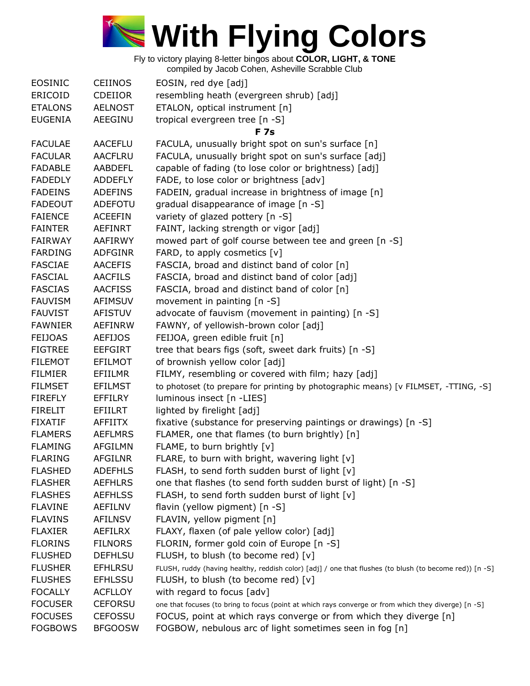

Fly to victory playing 8-letter bingos about **COLOR, LIGHT, & TONE**

compiled by Jacob Cohen, Asheville Scrabble Club

| <b>EOSINIC</b> | <b>CEIINOS</b> | EOSIN, red dye [adj]                                                                                    |
|----------------|----------------|---------------------------------------------------------------------------------------------------------|
| ERICOID        | <b>CDEIIOR</b> | resembling heath (evergreen shrub) [adj]                                                                |
| <b>ETALONS</b> | <b>AELNOST</b> | ETALON, optical instrument [n]                                                                          |
| <b>EUGENIA</b> | AEEGINU        | tropical evergreen tree [n -S]                                                                          |
|                |                | <b>F7s</b>                                                                                              |
| <b>FACULAE</b> | <b>AACEFLU</b> | FACULA, unusually bright spot on sun's surface [n]                                                      |
| <b>FACULAR</b> | <b>AACFLRU</b> | FACULA, unusually bright spot on sun's surface [adj]                                                    |
| <b>FADABLE</b> | <b>AABDEFL</b> | capable of fading (to lose color or brightness) [adj]                                                   |
| <b>FADEDLY</b> | <b>ADDEFLY</b> | FADE, to lose color or brightness [adv]                                                                 |
| <b>FADEINS</b> | <b>ADEFINS</b> | FADEIN, gradual increase in brightness of image [n]                                                     |
| <b>FADEOUT</b> | ADEFOTU        | gradual disappearance of image [n -S]                                                                   |
| <b>FAIENCE</b> | <b>ACEEFIN</b> | variety of glazed pottery [n -S]                                                                        |
| <b>FAINTER</b> | AEFINRT        | FAINT, lacking strength or vigor [adj]                                                                  |
| <b>FAIRWAY</b> | AAFIRWY        | mowed part of golf course between tee and green [n -S]                                                  |
| <b>FARDING</b> | ADFGINR        | FARD, to apply cosmetics $[v]$                                                                          |
| <b>FASCIAE</b> | <b>AACEFIS</b> | FASCIA, broad and distinct band of color [n]                                                            |
| <b>FASCIAL</b> | <b>AACFILS</b> | FASCIA, broad and distinct band of color [adj]                                                          |
| <b>FASCIAS</b> | <b>AACFISS</b> | FASCIA, broad and distinct band of color [n]                                                            |
| <b>FAUVISM</b> | <b>AFIMSUV</b> | movement in painting [n -S]                                                                             |
| <b>FAUVIST</b> | <b>AFISTUV</b> | advocate of fauvism (movement in painting) [n -S]                                                       |
| <b>FAWNIER</b> | <b>AEFINRW</b> | FAWNY, of yellowish-brown color [adj]                                                                   |
| <b>FEIJOAS</b> | <b>AEFIJOS</b> | FEIJOA, green edible fruit [n]                                                                          |
| <b>FIGTREE</b> | <b>EEFGIRT</b> | tree that bears figs (soft, sweet dark fruits) [n -S]                                                   |
| <b>FILEMOT</b> | <b>EFILMOT</b> | of brownish yellow color [adj]                                                                          |
| <b>FILMIER</b> | EFIILMR        | FILMY, resembling or covered with film; hazy [adj]                                                      |
| <b>FILMSET</b> | <b>EFILMST</b> | to photoset (to prepare for printing by photographic means) [v FILMSET, -TTING, -S]                     |
| <b>FIREFLY</b> | <b>EFFILRY</b> | luminous insect [n -LIES]                                                                               |
| <b>FIRELIT</b> | EFIILRT        | lighted by firelight [adj]                                                                              |
| <b>FIXATIF</b> | AFFIITX        | fixative (substance for preserving paintings or drawings) [n -S]                                        |
| <b>FLAMERS</b> | <b>AEFLMRS</b> | FLAMER, one that flames (to burn brightly) [n]                                                          |
| <b>FLAMING</b> | AFGILMN        | FLAME, to burn brightly [v]                                                                             |
| <b>FLARING</b> | <b>AFGILNR</b> | FLARE, to burn with bright, wavering light [v]                                                          |
| <b>FLASHED</b> | <b>ADEFHLS</b> | FLASH, to send forth sudden burst of light [v]                                                          |
| <b>FLASHER</b> | <b>AEFHLRS</b> | one that flashes (to send forth sudden burst of light) [n -S]                                           |
| <b>FLASHES</b> | <b>AEFHLSS</b> | FLASH, to send forth sudden burst of light [v]                                                          |
| <b>FLAVINE</b> | AEFILNV        | flavin (yellow pigment) [n -S]                                                                          |
| <b>FLAVINS</b> | <b>AFILNSV</b> | FLAVIN, yellow pigment [n]                                                                              |
| <b>FLAXIER</b> | AEFILRX        | FLAXY, flaxen (of pale yellow color) [adj]                                                              |
| <b>FLORINS</b> | <b>FILNORS</b> | FLORIN, former gold coin of Europe [n -S]                                                               |
| <b>FLUSHED</b> | <b>DEFHLSU</b> | FLUSH, to blush (to become red) [v]                                                                     |
| <b>FLUSHER</b> | <b>EFHLRSU</b> | FLUSH, ruddy (having healthy, reddish color) [adj] / one that flushes (to blush (to become red)) [n -S] |
| <b>FLUSHES</b> | <b>EFHLSSU</b> | FLUSH, to blush (to become red) [v]                                                                     |
| <b>FOCALLY</b> | <b>ACFLLOY</b> | with regard to focus [adv]                                                                              |
| <b>FOCUSER</b> | <b>CEFORSU</b> | one that focuses (to bring to focus (point at which rays converge or from which they diverge) [n -S]    |
| <b>FOCUSES</b> | <b>CEFOSSU</b> | FOCUS, point at which rays converge or from which they diverge [n]                                      |
| <b>FOGBOWS</b> | <b>BFGOOSW</b> | FOGBOW, nebulous arc of light sometimes seen in fog [n]                                                 |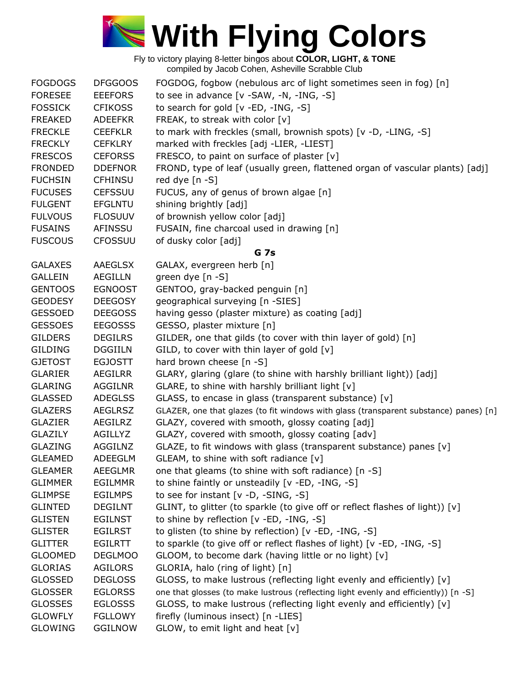

| <b>FOGDOGS</b> | <b>DFGGOOS</b> | FOGDOG, fogbow (nebulous arc of light sometimes seen in fog) [n]                      |
|----------------|----------------|---------------------------------------------------------------------------------------|
| <b>FORESEE</b> | <b>EEEFORS</b> | to see in advance [v -SAW, -N, -ING, -S]                                              |
| <b>FOSSICK</b> | <b>CFIKOSS</b> | to search for gold [v -ED, -ING, -S]                                                  |
| <b>FREAKED</b> | <b>ADEEFKR</b> | FREAK, to streak with color [v]                                                       |
| <b>FRECKLE</b> | <b>CEEFKLR</b> | to mark with freckles (small, brownish spots) [v -D, -LING, -S]                       |
| <b>FRECKLY</b> | <b>CEFKLRY</b> | marked with freckles [adj -LIER, -LIEST]                                              |
| <b>FRESCOS</b> | <b>CEFORSS</b> | FRESCO, to paint on surface of plaster [v]                                            |
| <b>FRONDED</b> | <b>DDEFNOR</b> | FROND, type of leaf (usually green, flattened organ of vascular plants) [adj]         |
| <b>FUCHSIN</b> | <b>CFHINSU</b> | red dye [n -S]                                                                        |
| <b>FUCUSES</b> | <b>CEFSSUU</b> | FUCUS, any of genus of brown algae [n]                                                |
| <b>FULGENT</b> | <b>EFGLNTU</b> | shining brightly [adj]                                                                |
| <b>FULVOUS</b> | <b>FLOSUUV</b> | of brownish yellow color [adj]                                                        |
| <b>FUSAINS</b> | AFINSSU        | FUSAIN, fine charcoal used in drawing [n]                                             |
| <b>FUSCOUS</b> | <b>CFOSSUU</b> | of dusky color [adj]                                                                  |
|                |                | <b>G</b> 7s                                                                           |
| <b>GALAXES</b> | AAEGLSX        | GALAX, evergreen herb [n]                                                             |
| <b>GALLEIN</b> | <b>AEGILLN</b> | green dye [n -S]                                                                      |
| <b>GENTOOS</b> | <b>EGNOOST</b> | GENTOO, gray-backed penguin [n]                                                       |
| <b>GEODESY</b> | <b>DEEGOSY</b> | geographical surveying [n -SIES]                                                      |
| <b>GESSOED</b> | <b>DEEGOSS</b> | having gesso (plaster mixture) as coating [adj]                                       |
| <b>GESSOES</b> | <b>EEGOSSS</b> | GESSO, plaster mixture [n]                                                            |
| <b>GILDERS</b> | <b>DEGILRS</b> | GILDER, one that gilds (to cover with thin layer of gold) [n]                         |
| <b>GILDING</b> | <b>DGGIILN</b> | GILD, to cover with thin layer of gold [v]                                            |
| <b>GJETOST</b> | <b>EGJOSTT</b> | hard brown cheese [n -S]                                                              |
| <b>GLARIER</b> | AEGILRR        | GLARY, glaring (glare (to shine with harshly brilliant light)) [adj]                  |
| <b>GLARING</b> | <b>AGGILNR</b> | GLARE, to shine with harshly brilliant light [v]                                      |
| <b>GLASSED</b> | <b>ADEGLSS</b> | GLASS, to encase in glass (transparent substance) [v]                                 |
| <b>GLAZERS</b> | <b>AEGLRSZ</b> | GLAZER, one that glazes (to fit windows with glass (transparent substance) panes) [n] |
| <b>GLAZIER</b> | AEGILRZ        | GLAZY, covered with smooth, glossy coating [adj]                                      |
| <b>GLAZILY</b> | AGILLYZ        | GLAZY, covered with smooth, glossy coating [adv]                                      |
| <b>GLAZING</b> | AGGILNZ        | GLAZE, to fit windows with glass (transparent substance) panes [v]                    |
| <b>GLEAMED</b> | <b>ADEEGLM</b> | GLEAM, to shine with soft radiance [v]                                                |
| <b>GLEAMER</b> | <b>AEEGLMR</b> | one that gleams (to shine with soft radiance) [n -S]                                  |
| <b>GLIMMER</b> | <b>EGILMMR</b> | to shine faintly or unsteadily [v -ED, -ING, -S]                                      |
| <b>GLIMPSE</b> | <b>EGILMPS</b> | to see for instant $[v -D, -SING, -S]$                                                |
| <b>GLINTED</b> | <b>DEGILNT</b> | GLINT, to glitter (to sparkle (to give off or reflect flashes of light)) [v]          |
| <b>GLISTEN</b> | <b>EGILNST</b> | to shine by reflection [v -ED, -ING, -S]                                              |
| <b>GLISTER</b> | <b>EGILRST</b> | to glisten (to shine by reflection) [v -ED, -ING, -S]                                 |
| <b>GLITTER</b> | <b>EGILRTT</b> | to sparkle (to give off or reflect flashes of light) [v -ED, -ING, -S]                |
| <b>GLOOMED</b> | <b>DEGLMOO</b> | GLOOM, to become dark (having little or no light) [v]                                 |
| <b>GLORIAS</b> | <b>AGILORS</b> | GLORIA, halo (ring of light) [n]                                                      |
| <b>GLOSSED</b> | <b>DEGLOSS</b> | GLOSS, to make lustrous (reflecting light evenly and efficiently) [v]                 |
| <b>GLOSSER</b> | <b>EGLORSS</b> | one that glosses (to make lustrous (reflecting light evenly and efficiently)) [n -S]  |
| <b>GLOSSES</b> | <b>EGLOSSS</b> | GLOSS, to make lustrous (reflecting light evenly and efficiently) [v]                 |
| <b>GLOWFLY</b> | <b>FGLLOWY</b> | firefly (luminous insect) [n -LIES]                                                   |
| <b>GLOWING</b> | <b>GGILNOW</b> | GLOW, to emit light and heat [v]                                                      |
|                |                |                                                                                       |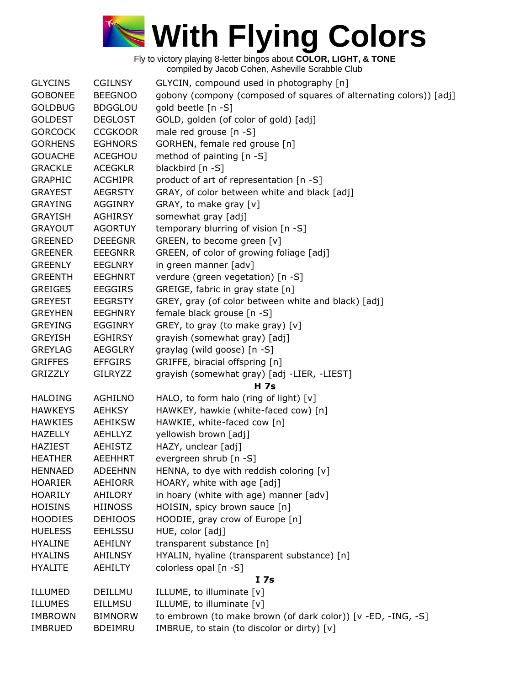

| <b>GLYCINS</b> | <b>CGILNSY</b> | GLYCIN, compound used in photography [n]                           |
|----------------|----------------|--------------------------------------------------------------------|
| <b>GOBONEE</b> | <b>BEEGNOO</b> | gobony (compony (composed of squares of alternating colors)) [adj] |
| <b>GOLDBUG</b> | <b>BDGGLOU</b> | gold beetle [n -S]                                                 |
| <b>GOLDEST</b> | <b>DEGLOST</b> | GOLD, golden (of color of gold) [adj]                              |
| <b>GORCOCK</b> | <b>CCGKOOR</b> | male red grouse [n -S]                                             |
| <b>GORHENS</b> | <b>EGHNORS</b> | GORHEN, female red grouse [n]                                      |
| <b>GOUACHE</b> | ACEGHOU        | method of painting [n -S]                                          |
| <b>GRACKLE</b> | <b>ACEGKLR</b> | blackbird [n -S]                                                   |
| <b>GRAPHIC</b> | <b>ACGHIPR</b> | product of art of representation [n -S]                            |
| <b>GRAYEST</b> | <b>AEGRSTY</b> | GRAY, of color between white and black [adj]                       |
| <b>GRAYING</b> | <b>AGGINRY</b> | GRAY, to make gray [v]                                             |
| <b>GRAYISH</b> | <b>AGHIRSY</b> | somewhat gray [adj]                                                |
| <b>GRAYOUT</b> | <b>AGORTUY</b> | temporary blurring of vision [n -S]                                |
| <b>GREENED</b> | <b>DEEEGNR</b> | GREEN, to become green [v]                                         |
| <b>GREENER</b> | <b>EEEGNRR</b> | GREEN, of color of growing foliage [adj]                           |
| <b>GREENLY</b> | <b>EEGLNRY</b> | in green manner [adv]                                              |
| <b>GREENTH</b> | <b>EEGHNRT</b> | verdure (green vegetation) [n -S]                                  |
| <b>GREIGES</b> | <b>EEGGIRS</b> | GREIGE, fabric in gray state [n]                                   |
| <b>GREYEST</b> | <b>EEGRSTY</b> | GREY, gray (of color between white and black) [adj]                |
| <b>GREYHEN</b> | <b>EEGHNRY</b> | female black grouse [n -S]                                         |
| <b>GREYING</b> | <b>EGGINRY</b> | GREY, to gray (to make gray) [v]                                   |
| <b>GREYISH</b> | <b>EGHIRSY</b> |                                                                    |
|                |                | grayish (somewhat gray) [adj]                                      |
| <b>GREYLAG</b> | <b>AEGGLRY</b> | graylag (wild goose) [n -S]                                        |
| <b>GRIFFES</b> | <b>EFFGIRS</b> | GRIFFE, biracial offspring [n]                                     |
| <b>GRIZZLY</b> | <b>GILRYZZ</b> | grayish (somewhat gray) [adj -LIER, -LIEST]                        |
|                |                | <b>H</b> 7s                                                        |
| <b>HALOING</b> | <b>AGHILNO</b> | HALO, to form halo (ring of light) $[v]$                           |
| <b>HAWKEYS</b> | <b>AEHKSY</b>  | HAWKEY, hawkie (white-faced cow) [n]                               |
| <b>HAWKIES</b> | <b>AEHIKSW</b> | HAWKIE, white-faced cow [n]                                        |
| <b>HAZELLY</b> | AEHLLYZ        | yellowish brown [adj]                                              |
| <b>HAZIEST</b> | <b>AEHISTZ</b> | HAZY, unclear [adj]                                                |
| <b>HEATHER</b> | <b>AEEHHRT</b> | evergreen shrub [n -S]                                             |
| <b>HENNAED</b> | <b>ADEEHNN</b> | HENNA, to dye with reddish coloring [v]                            |
| <b>HOARIER</b> | AEHIORR        | HOARY, white with age [adj]                                        |
| <b>HOARILY</b> | AHILORY        | in hoary (white with age) manner [adv]                             |
| <b>HOISINS</b> | <b>HIINOSS</b> | HOISIN, spicy brown sauce [n]                                      |
| <b>HOODIES</b> | <b>DEHIOOS</b> | HOODIE, gray crow of Europe [n]                                    |
| <b>HUELESS</b> | <b>EEHLSSU</b> | HUE, color [adj]                                                   |
| <b>HYALINE</b> | AEHILNY        | transparent substance [n]                                          |
| <b>HYALINS</b> | <b>AHILNSY</b> | HYALIN, hyaline (transparent substance) [n]                        |
| <b>HYALITE</b> | AEHILTY        | colorless opal [n -S]                                              |
|                |                | I 7s                                                               |
| ILLUMED        | DEILLMU        | ILLUME, to illuminate [v]                                          |
| ILLUMES        | <b>EILLMSU</b> | ILLUME, to illuminate [v]                                          |
| <b>IMBROWN</b> | <b>BIMNORW</b> | to embrown (to make brown (of dark color)) [v -ED, -ING, -S]       |
| <b>IMBRUED</b> | <b>BDEIMRU</b> | IMBRUE, to stain (to discolor or dirty) [v]                        |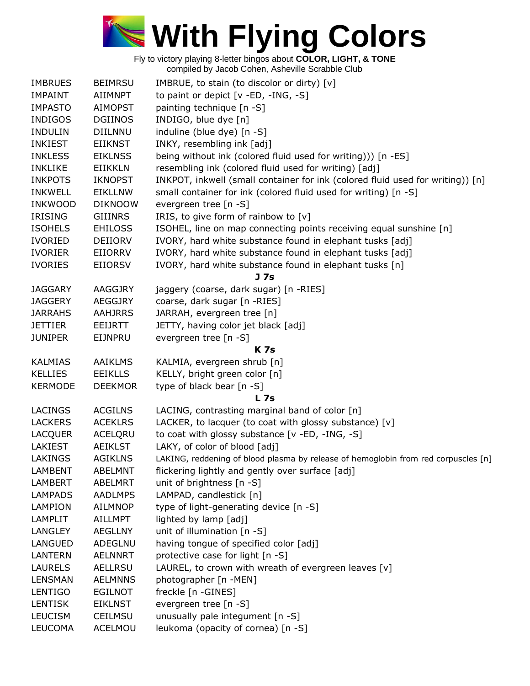

| <b>IMBRUES</b> | <b>BEIMRSU</b> | IMBRUE, to stain (to discolor or dirty) [v]                                        |
|----------------|----------------|------------------------------------------------------------------------------------|
| <b>IMPAINT</b> | <b>AIIMNPT</b> | to paint or depict [v -ED, -ING, -S]                                               |
| <b>IMPASTO</b> | <b>AIMOPST</b> | painting technique [n -S]                                                          |
| <b>INDIGOS</b> | <b>DGIINOS</b> | INDIGO, blue dye [n]                                                               |
| <b>INDULIN</b> | <b>DIILNNU</b> | induline (blue dye) [n -S]                                                         |
| <b>INKIEST</b> | <b>EIIKNST</b> | INKY, resembling ink [adj]                                                         |
| <b>INKLESS</b> | <b>EIKLNSS</b> | being without ink (colored fluid used for writing))) [n -ES]                       |
| <b>INKLIKE</b> | EIIKKLN        | resembling ink (colored fluid used for writing) [adj]                              |
| <b>INKPOTS</b> | <b>IKNOPST</b> | INKPOT, inkwell (small container for ink (colored fluid used for writing)) [n]     |
| <b>INKWELL</b> | <b>EIKLLNW</b> | small container for ink (colored fluid used for writing) [n -S]                    |
| <b>INKWOOD</b> | <b>DIKNOOW</b> | evergreen tree [n -S]                                                              |
| <b>IRISING</b> | <b>GIIINRS</b> | IRIS, to give form of rainbow to $[v]$                                             |
| <b>ISOHELS</b> | <b>EHILOSS</b> | ISOHEL, line on map connecting points receiving equal sunshine [n]                 |
| <b>IVORIED</b> | <b>DEIIORV</b> | IVORY, hard white substance found in elephant tusks [adj]                          |
| <b>IVORIER</b> | EIIORRV        | IVORY, hard white substance found in elephant tusks [adj]                          |
| <b>IVORIES</b> | <b>EIIORSV</b> | IVORY, hard white substance found in elephant tusks [n]                            |
|                |                | J <sub>7s</sub>                                                                    |
| <b>JAGGARY</b> | AAGGJRY        | jaggery (coarse, dark sugar) [n -RIES]                                             |
| <b>JAGGERY</b> | <b>AEGGJRY</b> | coarse, dark sugar [n -RIES]                                                       |
| <b>JARRAHS</b> | <b>AAHJRRS</b> | JARRAH, evergreen tree [n]                                                         |
| <b>JETTIER</b> | EEIJRTT        | JETTY, having color jet black [adj]                                                |
| <b>JUNIPER</b> | EIJNPRU        | evergreen tree [n -S]                                                              |
|                |                | <b>K7s</b>                                                                         |
| <b>KALMIAS</b> | <b>AAIKLMS</b> | KALMIA, evergreen shrub [n]                                                        |
| <b>KELLIES</b> | <b>EEIKLLS</b> | KELLY, bright green color [n]                                                      |
| <b>KERMODE</b> | <b>DEEKMOR</b> | type of black bear [n -S]                                                          |
|                |                | <b>L</b> 7s                                                                        |
| <b>LACINGS</b> | <b>ACGILNS</b> | LACING, contrasting marginal band of color [n]                                     |
| <b>LACKERS</b> | <b>ACEKLRS</b> | LACKER, to lacquer (to coat with glossy substance) [v]                             |
| <b>LACQUER</b> | ACELQRU        | to coat with glossy substance [v -ED, -ING, -S]                                    |
| LAKIEST        | <b>AEIKLST</b> | LAKY, of color of blood [adj]                                                      |
| <b>LAKINGS</b> | <b>AGIKLNS</b> | LAKING, reddening of blood plasma by release of hemoglobin from red corpuscles [n] |
| <b>LAMBENT</b> | <b>ABELMNT</b> | flickering lightly and gently over surface [adj]                                   |
| LAMBERT        | <b>ABELMRT</b> | unit of brightness [n -S]                                                          |
| <b>LAMPADS</b> | <b>AADLMPS</b> | LAMPAD, candlestick [n]                                                            |
| LAMPION        | <b>AILMNOP</b> | type of light-generating device [n -S]                                             |
| LAMPLIT        | AILLMPT        | lighted by lamp [adj]                                                              |
| LANGLEY        | <b>AEGLLNY</b> | unit of illumination [n -S]                                                        |
| <b>LANGUED</b> | ADEGLNU        | having tongue of specified color [adj]                                             |
| <b>LANTERN</b> | <b>AELNNRT</b> | protective case for light [n -S]                                                   |
| <b>LAURELS</b> | AELLRSU        | LAUREL, to crown with wreath of evergreen leaves [v]                               |
| <b>LENSMAN</b> | <b>AELMNNS</b> | photographer [n -MEN]                                                              |
| LENTIGO        | <b>EGILNOT</b> | freckle [n -GINES]                                                                 |
| <b>LENTISK</b> | <b>EIKLNST</b> | evergreen tree [n -S]                                                              |
| <b>LEUCISM</b> |                |                                                                                    |
|                | <b>CEILMSU</b> | unusually pale integument [n -S]                                                   |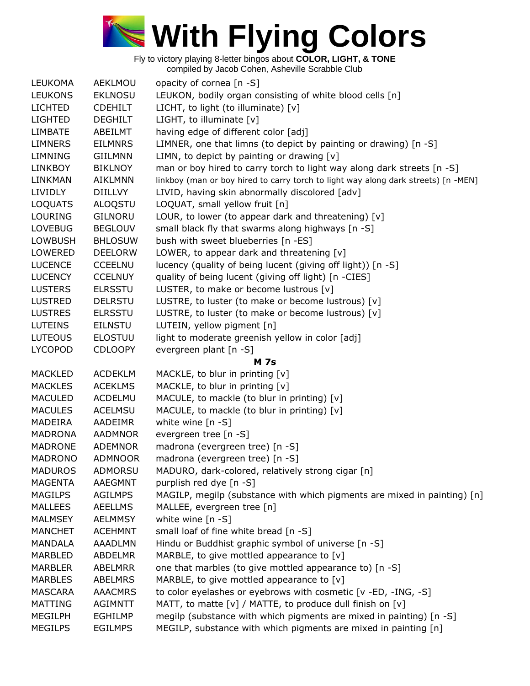

| <b>LEUKOMA</b>            | AEKLMOU                          | opacity of cornea [n -S]                                                           |
|---------------------------|----------------------------------|------------------------------------------------------------------------------------|
| <b>LEUKONS</b>            | <b>EKLNOSU</b>                   | LEUKON, bodily organ consisting of white blood cells [n]                           |
| <b>LICHTED</b>            | <b>CDEHILT</b>                   | LICHT, to light (to illuminate) [v]                                                |
| <b>LIGHTED</b>            | <b>DEGHILT</b>                   | LIGHT, to illuminate [v]                                                           |
| <b>LIMBATE</b>            | ABEILMT                          | having edge of different color [adj]                                               |
| <b>LIMNERS</b>            | <b>EILMNRS</b>                   | LIMNER, one that limns (to depict by painting or drawing) [n -S]                   |
| <b>LIMNING</b>            | <b>GIILMNN</b>                   | LIMN, to depict by painting or drawing $[v]$                                       |
| <b>LINKBOY</b>            | <b>BIKLNOY</b>                   | man or boy hired to carry torch to light way along dark streets [n -S]             |
| <b>LINKMAN</b>            | <b>AIKLMNN</b>                   | linkboy (man or boy hired to carry torch to light way along dark streets) [n -MEN] |
| <b>LIVIDLY</b>            | <b>DIILLVY</b>                   | LIVID, having skin abnormally discolored [adv]                                     |
| <b>LOQUATS</b>            | ALOQSTU                          | LOQUAT, small yellow fruit [n]                                                     |
| <b>LOURING</b>            | <b>GILNORU</b>                   | LOUR, to lower (to appear dark and threatening) $[v]$                              |
| <b>LOVEBUG</b>            | <b>BEGLOUV</b>                   | small black fly that swarms along highways [n -S]                                  |
|                           |                                  |                                                                                    |
| <b>LOWBUSH</b><br>LOWERED | <b>BHLOSUW</b><br><b>DEELORW</b> | bush with sweet blueberries [n -ES]                                                |
|                           |                                  | LOWER, to appear dark and threatening $[v]$                                        |
| <b>LUCENCE</b>            | <b>CCEELNU</b>                   | lucency (quality of being lucent (giving off light)) [n -S]                        |
| <b>LUCENCY</b>            | <b>CCELNUY</b>                   | quality of being lucent (giving off light) [n -CIES]                               |
| <b>LUSTERS</b>            | <b>ELRSSTU</b>                   | LUSTER, to make or become lustrous [v]                                             |
| <b>LUSTRED</b>            | <b>DELRSTU</b>                   | LUSTRE, to luster (to make or become lustrous) [v]                                 |
| <b>LUSTRES</b>            | <b>ELRSSTU</b>                   | LUSTRE, to luster (to make or become lustrous) [v]                                 |
| <b>LUTEINS</b>            | <b>EILNSTU</b>                   | LUTEIN, yellow pigment [n]                                                         |
| <b>LUTEOUS</b>            | <b>ELOSTUU</b>                   | light to moderate greenish yellow in color [adj]                                   |
| <b>LYCOPOD</b>            | <b>CDLOOPY</b>                   | evergreen plant [n -S]                                                             |
|                           |                                  | <b>M</b> 7s                                                                        |
| <b>MACKLED</b>            | <b>ACDEKLM</b>                   | MACKLE, to blur in printing [v]                                                    |
| <b>MACKLES</b>            | <b>ACEKLMS</b>                   | MACKLE, to blur in printing [v]                                                    |
| <b>MACULED</b>            | <b>ACDELMU</b>                   | MACULE, to mackle (to blur in printing) [v]                                        |
| <b>MACULES</b>            | <b>ACELMSU</b>                   | MACULE, to mackle (to blur in printing) [v]                                        |
| <b>MADEIRA</b>            | AADEIMR                          | white wine $[n -S]$                                                                |
| <b>MADRONA</b>            | <b>AADMNOR</b>                   | evergreen tree [n -S]                                                              |
| <b>MADRONE</b>            | <b>ADEMNOR</b>                   | madrona (evergreen tree) [n -S]                                                    |
| <b>MADRONO</b>            | <b>ADMNOOR</b>                   | madrona (evergreen tree) [n -S]                                                    |
| <b>MADUROS</b>            | <b>ADMORSU</b>                   | MADURO, dark-colored, relatively strong cigar [n]                                  |
| <b>MAGENTA</b>            | <b>AAEGMNT</b>                   | purplish red dye [n -S]                                                            |
| <b>MAGILPS</b>            | <b>AGILMPS</b>                   | MAGILP, megilp (substance with which pigments are mixed in painting) [n]           |
| <b>MALLEES</b>            | <b>AEELLMS</b>                   | MALLEE, evergreen tree [n]                                                         |
| <b>MALMSEY</b>            | <b>AELMMSY</b>                   | white wine $[n - S]$                                                               |
| <b>MANCHET</b>            | <b>ACEHMNT</b>                   | small loaf of fine white bread [n -S]                                              |
| <b>MANDALA</b>            | <b>AAADLMN</b>                   | Hindu or Buddhist graphic symbol of universe [n -S]                                |
| MARBLED                   | ABDELMR                          | MARBLE, to give mottled appearance to $[v]$                                        |
| <b>MARBLER</b>            | <b>ABELMRR</b>                   | one that marbles (to give mottled appearance to) [n -S]                            |
| <b>MARBLES</b>            | <b>ABELMRS</b>                   | MARBLE, to give mottled appearance to $[v]$                                        |
| <b>MASCARA</b>            | <b>AAACMRS</b>                   | to color eyelashes or eyebrows with cosmetic [v -ED, -ING, -S]                     |
| <b>MATTING</b>            | <b>AGIMNTT</b>                   | MATT, to matte [v] / MATTE, to produce dull finish on [v]                          |
| <b>MEGILPH</b>            | <b>EGHILMP</b>                   | megilp (substance with which pigments are mixed in painting) [n -S]                |
| <b>MEGILPS</b>            | <b>EGILMPS</b>                   | MEGILP, substance with which pigments are mixed in painting [n]                    |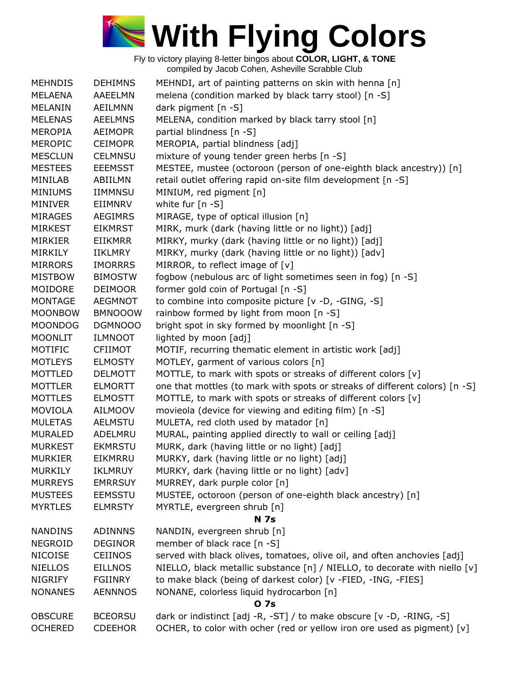

| <b>MEHNDIS</b> | <b>DEHIMNS</b> | MEHNDI, art of painting patterns on skin with henna [n]                     |
|----------------|----------------|-----------------------------------------------------------------------------|
| MELAENA        | <b>AAEELMN</b> | melena (condition marked by black tarry stool) [n -S]                       |
| MELANIN        | <b>AEILMNN</b> | dark pigment [n -S]                                                         |
| <b>MELENAS</b> | <b>AEELMNS</b> | MELENA, condition marked by black tarry stool [n]                           |
| <b>MEROPIA</b> | <b>AEIMOPR</b> | partial blindness [n -S]                                                    |
| <b>MEROPIC</b> | <b>CEIMOPR</b> | MEROPIA, partial blindness [adj]                                            |
| <b>MESCLUN</b> | <b>CELMNSU</b> | mixture of young tender green herbs [n -S]                                  |
| <b>MESTEES</b> | <b>EEEMSST</b> | MESTEE, mustee (octoroon (person of one-eighth black ancestry)) [n]         |
| MINILAB        | ABIILMN        | retail outlet offering rapid on-site film development [n -S]                |
| <b>MINIUMS</b> | <b>IIMMNSU</b> | MINIUM, red pigment [n]                                                     |
| <b>MINIVER</b> | EIIMNRV        | white fur $[n - S]$                                                         |
| <b>MIRAGES</b> | <b>AEGIMRS</b> | MIRAGE, type of optical illusion [n]                                        |
| <b>MIRKEST</b> | <b>EIKMRST</b> | MIRK, murk (dark (having little or no light)) [adj]                         |
| <b>MIRKIER</b> | EIIKMRR        | MIRKY, murky (dark (having little or no light)) [adj]                       |
| <b>MIRKILY</b> | IIKLMRY        | MIRKY, murky (dark (having little or no light)) [adv]                       |
| <b>MIRRORS</b> | <b>IMORRRS</b> | MIRROR, to reflect image of $[v]$                                           |
| <b>MISTBOW</b> | <b>BIMOSTW</b> | fogbow (nebulous arc of light sometimes seen in fog) [n -S]                 |
| MOIDORE        | <b>DEIMOOR</b> | former gold coin of Portugal [n -S]                                         |
| <b>MONTAGE</b> | <b>AEGMNOT</b> | to combine into composite picture [v -D, -GING, -S]                         |
| <b>MOONBOW</b> | <b>BMNOOOW</b> | rainbow formed by light from moon [n -S]                                    |
| <b>MOONDOG</b> | DGMNOOO        | bright spot in sky formed by moonlight [n -S]                               |
| <b>MOONLIT</b> | <b>ILMNOOT</b> | lighted by moon [adj]                                                       |
| MOTIFIC        | <b>CFIIMOT</b> | MOTIF, recurring thematic element in artistic work [adj]                    |
| <b>MOTLEYS</b> | <b>ELMOSTY</b> | MOTLEY, garment of various colors [n]                                       |
| MOTTLED        | <b>DELMOTT</b> | MOTTLE, to mark with spots or streaks of different colors [v]               |
| <b>MOTTLER</b> | <b>ELMORTT</b> | one that mottles (to mark with spots or streaks of different colors) [n -S] |
| <b>MOTTLES</b> | <b>ELMOSTT</b> | MOTTLE, to mark with spots or streaks of different colors [v]               |
| <b>MOVIOLA</b> | <b>AILMOOV</b> | movieola (device for viewing and editing film) [n -S]                       |
| <b>MULETAS</b> | <b>AELMSTU</b> | MULETA, red cloth used by matador [n]                                       |
| <b>MURALED</b> | ADELMRU        | MURAL, painting applied directly to wall or ceiling [adj]                   |
| <b>MURKEST</b> | <b>EKMRSTU</b> | MURK, dark (having little or no light) [adj]                                |
| <b>MURKIER</b> | EIKMRRU        | MURKY, dark (having little or no light) [adj]                               |
| <b>MURKILY</b> | <b>IKLMRUY</b> | MURKY, dark (having little or no light) [adv]                               |
| <b>MURREYS</b> | <b>EMRRSUY</b> | MURREY, dark purple color [n]                                               |
| <b>MUSTEES</b> | <b>EEMSSTU</b> | MUSTEE, octoroon (person of one-eighth black ancestry) [n]                  |
| <b>MYRTLES</b> | <b>ELMRSTY</b> | MYRTLE, evergreen shrub [n]                                                 |
|                |                | <b>N</b> 7s                                                                 |
| <b>NANDINS</b> | <b>ADINNNS</b> | NANDIN, evergreen shrub [n]                                                 |
| <b>NEGROID</b> | <b>DEGINOR</b> | member of black race [n -S]                                                 |
| <b>NICOISE</b> | <b>CEIINOS</b> | served with black olives, tomatoes, olive oil, and often anchovies [adj]    |
| <b>NIELLOS</b> | <b>EILLNOS</b> | NIELLO, black metallic substance [n] / NIELLO, to decorate with niello [v]  |
| <b>NIGRIFY</b> | <b>FGIINRY</b> | to make black (being of darkest color) [v -FIED, -ING, -FIES]               |
| <b>NONANES</b> | <b>AENNNOS</b> | NONANE, colorless liquid hydrocarbon [n]                                    |
|                |                | <b>07s</b>                                                                  |
| <b>OBSCURE</b> | <b>BCEORSU</b> | dark or indistinct [adj -R, -ST] / to make obscure [v -D, -RING, -S]        |
| <b>OCHERED</b> | <b>CDEEHOR</b> | OCHER, to color with ocher (red or yellow iron ore used as pigment) [v]     |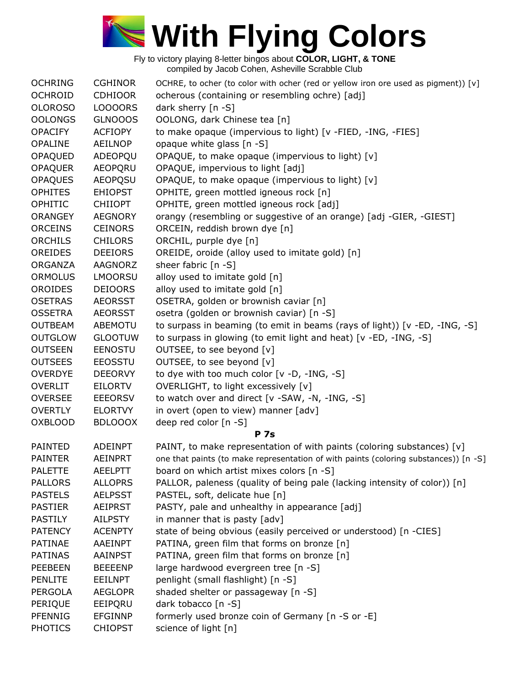

| <b>OCHRING</b> | <b>CGHINOR</b> | OCHRE, to ocher (to color with ocher (red or yellow iron ore used as pigment)) [v]   |
|----------------|----------------|--------------------------------------------------------------------------------------|
| <b>OCHROID</b> | <b>CDHIOOR</b> | ocherous (containing or resembling ochre) [adj]                                      |
| <b>OLOROSO</b> | LOOOORS        | dark sherry $[n - S]$                                                                |
| <b>OOLONGS</b> | <b>GLNOOOS</b> | OOLONG, dark Chinese tea [n]                                                         |
| <b>OPACIFY</b> | <b>ACFIOPY</b> | to make opaque (impervious to light) [v -FIED, -ING, -FIES]                          |
| <b>OPALINE</b> | <b>AEILNOP</b> | opaque white glass [n -S]                                                            |
| OPAQUED        | ADEOPQU        | OPAQUE, to make opaque (impervious to light) [v]                                     |
| <b>OPAQUER</b> | <b>AEOPQRU</b> | OPAQUE, impervious to light [adj]                                                    |
| <b>OPAQUES</b> | <b>AEOPQSU</b> | OPAQUE, to make opaque (impervious to light) [v]                                     |
| <b>OPHITES</b> | <b>EHIOPST</b> | OPHITE, green mottled igneous rock [n]                                               |
| OPHITIC        | <b>CHIIOPT</b> | OPHITE, green mottled igneous rock [adj]                                             |
| <b>ORANGEY</b> | <b>AEGNORY</b> | orangy (resembling or suggestive of an orange) [adj -GIER, -GIEST]                   |
| <b>ORCEINS</b> | <b>CEINORS</b> | ORCEIN, reddish brown dye [n]                                                        |
| <b>ORCHILS</b> | <b>CHILORS</b> | ORCHIL, purple dye [n]                                                               |
| OREIDES        | <b>DEEIORS</b> | OREIDE, oroide (alloy used to imitate gold) [n]                                      |
| <b>ORGANZA</b> | AAGNORZ        | sheer fabric [n -S]                                                                  |
| <b>ORMOLUS</b> | <b>LMOORSU</b> | alloy used to imitate gold [n]                                                       |
| <b>OROIDES</b> | <b>DEIOORS</b> | alloy used to imitate gold [n]                                                       |
| <b>OSETRAS</b> | <b>AEORSST</b> | OSETRA, golden or brownish caviar [n]                                                |
| <b>OSSETRA</b> | <b>AEORSST</b> | osetra (golden or brownish caviar) [n -S]                                            |
| <b>OUTBEAM</b> | <b>ABEMOTU</b> | to surpass in beaming (to emit in beams (rays of light)) [v -ED, -ING, -S]           |
| <b>OUTGLOW</b> | <b>GLOOTUW</b> | to surpass in glowing (to emit light and heat) [v -ED, -ING, -S]                     |
| <b>OUTSEEN</b> | EENOSTU        | OUTSEE, to see beyond [v]                                                            |
| <b>OUTSEES</b> | <b>EEOSSTU</b> | OUTSEE, to see beyond [v]                                                            |
| <b>OVERDYE</b> | <b>DEEORVY</b> | to dye with too much color [v -D, -ING, -S]                                          |
| <b>OVERLIT</b> | EILORTV        | OVERLIGHT, to light excessively [v]                                                  |
| <b>OVERSEE</b> | <b>EEEORSV</b> | to watch over and direct [v -SAW, -N, -ING, -S]                                      |
| <b>OVERTLY</b> | <b>ELORTVY</b> | in overt (open to view) manner [adv]                                                 |
| <b>OXBLOOD</b> | <b>BDLOOOX</b> | deep red color [n -S]                                                                |
|                |                | <b>P</b> 7s                                                                          |
| <b>PAINTED</b> | <b>ADEINPT</b> | PAINT, to make representation of with paints (coloring substances) [v]               |
| <b>PAINTER</b> | <b>AEINPRT</b> | one that paints (to make representation of with paints (coloring substances)) [n -S] |
| <b>PALETTE</b> | <b>AEELPTT</b> | board on which artist mixes colors [n -S]                                            |
| <b>PALLORS</b> | <b>ALLOPRS</b> | PALLOR, paleness (quality of being pale (lacking intensity of color)) [n]            |
| <b>PASTELS</b> | <b>AELPSST</b> | PASTEL, soft, delicate hue [n]                                                       |
| <b>PASTIER</b> | <b>AEIPRST</b> | PASTY, pale and unhealthy in appearance [adj]                                        |
| <b>PASTILY</b> | <b>AILPSTY</b> | in manner that is pasty [adv]                                                        |
| <b>PATENCY</b> | <b>ACENPTY</b> | state of being obvious (easily perceived or understood) [n -CIES]                    |
| <b>PATINAE</b> | <b>AAEINPT</b> | PATINA, green film that forms on bronze [n]                                          |
| <b>PATINAS</b> | <b>AAINPST</b> | PATINA, green film that forms on bronze [n]                                          |
| PEEBEEN        | <b>BEEEENP</b> | large hardwood evergreen tree [n -S]                                                 |
| <b>PENLITE</b> | <b>EEILNPT</b> | penlight (small flashlight) [n -S]                                                   |
| <b>PERGOLA</b> | <b>AEGLOPR</b> | shaded shelter or passageway [n -S]                                                  |
| PERIQUE        | EEIPQRU        | dark tobacco [n -S]                                                                  |
| <b>PFENNIG</b> | <b>EFGINNP</b> | formerly used bronze coin of Germany [n -S or -E]                                    |
| <b>PHOTICS</b> | <b>CHIOPST</b> | science of light [n]                                                                 |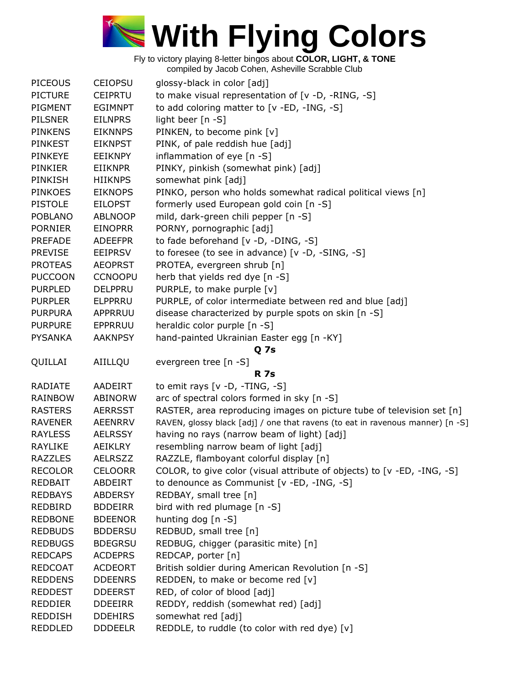

| <b>PICEOUS</b> | <b>CEIOPSU</b> | glossy-black in color [adj]                                                    |
|----------------|----------------|--------------------------------------------------------------------------------|
| <b>PICTURE</b> | <b>CEIPRTU</b> | to make visual representation of [v -D, -RING, -S]                             |
| PIGMENT        | <b>EGIMNPT</b> | to add coloring matter to [v -ED, -ING, -S]                                    |
| <b>PILSNER</b> | <b>EILNPRS</b> | light beer [n -S]                                                              |
| <b>PINKENS</b> | <b>EIKNNPS</b> | PINKEN, to become pink [v]                                                     |
| <b>PINKEST</b> | <b>EIKNPST</b> | PINK, of pale reddish hue [adj]                                                |
| <b>PINKEYE</b> | <b>EEIKNPY</b> | inflammation of eye [n -S]                                                     |
| <b>PINKIER</b> | <b>EIIKNPR</b> | PINKY, pinkish (somewhat pink) [adj]                                           |
| PINKISH        | <b>HIIKNPS</b> | somewhat pink [adj]                                                            |
| <b>PINKOES</b> | <b>EIKNOPS</b> | PINKO, person who holds somewhat radical political views [n]                   |
| <b>PISTOLE</b> | <b>EILOPST</b> | formerly used European gold coin [n -S]                                        |
| <b>POBLANO</b> | <b>ABLNOOP</b> | mild, dark-green chili pepper [n -S]                                           |
| <b>PORNIER</b> | <b>EINOPRR</b> | PORNY, pornographic [adj]                                                      |
| <b>PREFADE</b> | <b>ADEEFPR</b> | to fade beforehand [v -D, -DING, -S]                                           |
| <b>PREVISE</b> |                |                                                                                |
|                | <b>EEIPRSV</b> | to foresee (to see in advance) [v -D, -SING, -S]                               |
| <b>PROTEAS</b> | <b>AEOPRST</b> | PROTEA, evergreen shrub [n]                                                    |
| <b>PUCCOON</b> | <b>CCNOOPU</b> | herb that yields red dye [n -S]                                                |
| <b>PURPLED</b> | <b>DELPPRU</b> | PURPLE, to make purple [v]                                                     |
| <b>PURPLER</b> | <b>ELPPRRU</b> | PURPLE, of color intermediate between red and blue [adj]                       |
| <b>PURPURA</b> | APPRRUU        | disease characterized by purple spots on skin [n -S]                           |
| <b>PURPURE</b> | EPPRRUU        | heraldic color purple [n -S]                                                   |
| <b>PYSANKA</b> | <b>AAKNPSY</b> | hand-painted Ukrainian Easter egg [n -KY]                                      |
|                |                | Q 7s                                                                           |
| QUILLAI        | AIILLQU        | evergreen tree [n -S]                                                          |
|                |                | <b>R</b> 7s                                                                    |
| <b>RADIATE</b> | <b>AADEIRT</b> | to emit rays $[v -D, -TING, -S]$                                               |
| <b>RAINBOW</b> | <b>ABINORW</b> | arc of spectral colors formed in sky [n -S]                                    |
| <b>RASTERS</b> | <b>AERRSST</b> | RASTER, area reproducing images on picture tube of television set [n]          |
| <b>RAVENER</b> | <b>AEENRRV</b> | RAVEN, glossy black [adj] / one that ravens (to eat in ravenous manner) [n -S] |
| <b>RAYLESS</b> | <b>AELRSSY</b> | having no rays (narrow beam of light) [adj]                                    |
| <b>RAYLIKE</b> | AEIKLRY        | resembling narrow beam of light [adj]                                          |
| <b>RAZZLES</b> | <b>AELRSZZ</b> | RAZZLE, flamboyant colorful display [n]                                        |
| <b>RECOLOR</b> | <b>CELOORR</b> | COLOR, to give color (visual attribute of objects) to [v -ED, -ING, -S]        |
| <b>REDBAIT</b> | ABDEIRT        | to denounce as Communist [v -ED, -ING, -S]                                     |
| <b>REDBAYS</b> | <b>ABDERSY</b> | REDBAY, small tree [n]                                                         |
| <b>REDBIRD</b> | <b>BDDEIRR</b> | bird with red plumage [n -S]                                                   |
| <b>REDBONE</b> | <b>BDEENOR</b> | hunting dog $[n - S]$                                                          |
| <b>REDBUDS</b> | <b>BDDERSU</b> | REDBUD, small tree [n]                                                         |
| <b>REDBUGS</b> | <b>BDEGRSU</b> | REDBUG, chigger (parasitic mite) [n]                                           |
| <b>REDCAPS</b> | <b>ACDEPRS</b> | REDCAP, porter [n]                                                             |
| <b>REDCOAT</b> | <b>ACDEORT</b> | British soldier during American Revolution [n -S]                              |
| <b>REDDENS</b> | <b>DDEENRS</b> | REDDEN, to make or become red [v]                                              |
| <b>REDDEST</b> | <b>DDEERST</b> | RED, of color of blood [adj]                                                   |
| <b>REDDIER</b> | <b>DDEEIRR</b> | REDDY, reddish (somewhat red) [adj]                                            |
| <b>REDDISH</b> | <b>DDEHIRS</b> | somewhat red [adj]                                                             |
| <b>REDDLED</b> | <b>DDDEELR</b> | REDDLE, to ruddle (to color with red dye) [v]                                  |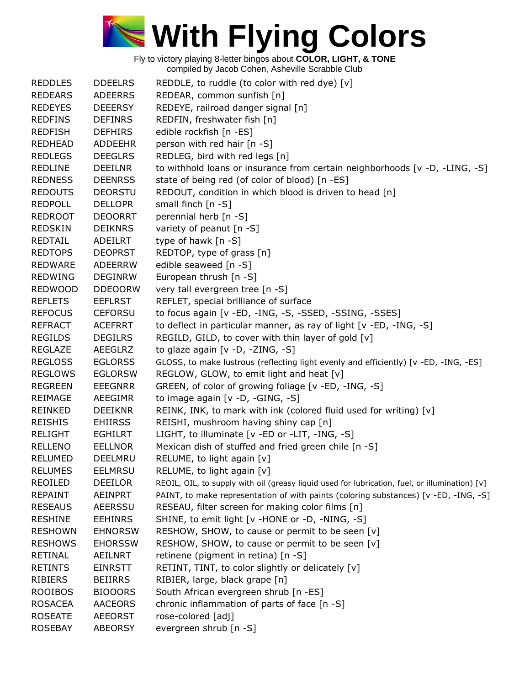

| <b>REDDLES</b> | <b>DDEELRS</b> | REDDLE, to ruddle (to color with red dye) $[v]$                                                |
|----------------|----------------|------------------------------------------------------------------------------------------------|
| <b>REDEARS</b> | <b>ADEERRS</b> | REDEAR, common sunfish [n]                                                                     |
| <b>REDEYES</b> | <b>DEEERSY</b> | REDEYE, railroad danger signal [n]                                                             |
| <b>REDFINS</b> | <b>DEFINRS</b> | REDFIN, freshwater fish [n]                                                                    |
| <b>REDFISH</b> | <b>DEFHIRS</b> | edible rockfish [n -ES]                                                                        |
| <b>REDHEAD</b> | <b>ADDEEHR</b> | person with red hair [n -S]                                                                    |
| <b>REDLEGS</b> | <b>DEEGLRS</b> | REDLEG, bird with red legs [n]                                                                 |
| <b>REDLINE</b> | <b>DEEILNR</b> | to withhold loans or insurance from certain neighborhoods [v -D, -LING, -S]                    |
| <b>REDNESS</b> | <b>DEENRSS</b> | state of being red (of color of blood) [n -ES]                                                 |
| <b>REDOUTS</b> | <b>DEORSTU</b> | REDOUT, condition in which blood is driven to head [n]                                         |
| <b>REDPOLL</b> | <b>DELLOPR</b> | small finch [n -S]                                                                             |
| <b>REDROOT</b> | <b>DEOORRT</b> | perennial herb [n -S]                                                                          |
| <b>REDSKIN</b> | <b>DEIKNRS</b> | variety of peanut [n -S]                                                                       |
| REDTAIL        | ADEILRT        | type of hawk [n -S]                                                                            |
| <b>REDTOPS</b> | <b>DEOPRST</b> | REDTOP, type of grass [n]                                                                      |
| <b>REDWARE</b> | <b>ADEERRW</b> | edible seaweed [n -S]                                                                          |
| <b>REDWING</b> | <b>DEGINRW</b> | European thrush [n -S]                                                                         |
| <b>REDWOOD</b> | <b>DDEOORW</b> | very tall evergreen tree [n -S]                                                                |
| <b>REFLETS</b> | <b>EEFLRST</b> | REFLET, special brilliance of surface                                                          |
| <b>REFOCUS</b> | <b>CEFORSU</b> | to focus again [v -ED, -ING, -S, -SSED, -SSING, -SSES]                                         |
| <b>REFRACT</b> | <b>ACEFRRT</b> | to deflect in particular manner, as ray of light [v -ED, -ING, -S]                             |
| <b>REGILDS</b> | <b>DEGILRS</b> | REGILD, GILD, to cover with thin layer of gold [v]                                             |
| <b>REGLAZE</b> | <b>AEEGLRZ</b> | to glaze again [v -D, -ZING, -S]                                                               |
| <b>REGLOSS</b> | <b>EGLORSS</b> | GLOSS, to make lustrous (reflecting light evenly and efficiently) [v -ED, -ING, -ES]           |
| <b>REGLOWS</b> | <b>EGLORSW</b> | REGLOW, GLOW, to emit light and heat [v]                                                       |
| <b>REGREEN</b> | <b>EEEGNRR</b> | GREEN, of color of growing foliage [v -ED, -ING, -S]                                           |
| <b>REIMAGE</b> | <b>AEEGIMR</b> | to image again $[v -D, -GING, -S]$                                                             |
| <b>REINKED</b> | <b>DEEIKNR</b> | REINK, INK, to mark with ink (colored fluid used for writing) [v]                              |
| <b>REISHIS</b> | <b>EHIIRSS</b> | REISHI, mushroom having shiny cap [n]                                                          |
| <b>RELIGHT</b> | <b>EGHILRT</b> | LIGHT, to illuminate [v -ED or -LIT, -ING, -S]                                                 |
| <b>RELLENO</b> | <b>EELLNOR</b> | Mexican dish of stuffed and fried green chile [n -S]                                           |
| <b>RELUMED</b> | DEELMRU        | RELUME, to light again [v]                                                                     |
| <b>RELUMES</b> | <b>EELMRSU</b> | RELUME, to light again [v]                                                                     |
| <b>REOILED</b> | <b>DEEILOR</b> | REOIL, OIL, to supply with oil (greasy liquid used for lubrication, fuel, or illumination) [v] |
| <b>REPAINT</b> | <b>AEINPRT</b> | PAINT, to make representation of with paints (coloring substances) [v -ED, -ING, -S]           |
| <b>RESEAUS</b> | <b>AEERSSU</b> | RESEAU, filter screen for making color films [n]                                               |
| <b>RESHINE</b> | <b>EEHINRS</b> | SHINE, to emit light [v -HONE or -D, -NING, -S]                                                |
| <b>RESHOWN</b> | <b>EHNORSW</b> | RESHOW, SHOW, to cause or permit to be seen [v]                                                |
| <b>RESHOWS</b> | <b>EHORSSW</b> | RESHOW, SHOW, to cause or permit to be seen [v]                                                |
| <b>RETINAL</b> | AEILNRT        | retinene (pigment in retina) [n -S]                                                            |
| <b>RETINTS</b> | <b>EINRSTT</b> | RETINT, TINT, to color slightly or delicately [v]                                              |
| <b>RIBIERS</b> | <b>BEIIRRS</b> | RIBIER, large, black grape [n]                                                                 |
| <b>ROOIBOS</b> | <b>BIOOORS</b> | South African evergreen shrub [n -ES]                                                          |
| <b>ROSACEA</b> | <b>AACEORS</b> | chronic inflammation of parts of face [n -S]                                                   |
| <b>ROSEATE</b> | <b>AEEORST</b> | rose-colored [adj]                                                                             |
| <b>ROSEBAY</b> | <b>ABEORSY</b> | evergreen shrub [n -S]                                                                         |
|                |                |                                                                                                |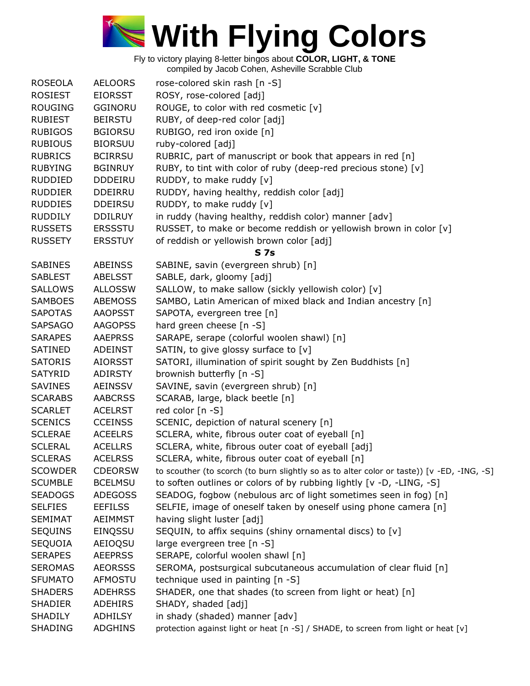

| <b>ROSEOLA</b>                   | <b>AELOORS</b>            | rose-colored skin rash [n -S]                                                              |
|----------------------------------|---------------------------|--------------------------------------------------------------------------------------------|
| <b>ROSIEST</b>                   | <b>EIORSST</b>            | ROSY, rose-colored [adj]                                                                   |
| <b>ROUGING</b>                   | <b>GGINORU</b>            | ROUGE, to color with red cosmetic [v]                                                      |
| <b>RUBIEST</b>                   | <b>BEIRSTU</b>            | RUBY, of deep-red color [adj]                                                              |
| <b>RUBIGOS</b>                   | <b>BGIORSU</b>            | RUBIGO, red iron oxide [n]                                                                 |
| <b>RUBIOUS</b>                   | <b>BIORSUU</b>            | ruby-colored [adj]                                                                         |
| <b>RUBRICS</b>                   | <b>BCIRRSU</b>            | RUBRIC, part of manuscript or book that appears in red [n]                                 |
| <b>RUBYING</b>                   | <b>BGINRUY</b>            | RUBY, to tint with color of ruby (deep-red precious stone) [v]                             |
| <b>RUDDIED</b>                   | <b>DDDEIRU</b>            | RUDDY, to make ruddy [v]                                                                   |
| <b>RUDDIER</b>                   | <b>DDEIRRU</b>            | RUDDY, having healthy, reddish color [adj]                                                 |
| <b>RUDDIES</b>                   | <b>DDEIRSU</b>            | RUDDY, to make ruddy [v]                                                                   |
| <b>RUDDILY</b>                   | <b>DDILRUY</b>            | in ruddy (having healthy, reddish color) manner [adv]                                      |
| <b>RUSSETS</b>                   | <b>ERSSSTU</b>            | RUSSET, to make or become reddish or yellowish brown in color [v]                          |
| <b>RUSSETY</b>                   | <b>ERSSTUY</b>            | of reddish or yellowish brown color [adj]                                                  |
|                                  |                           | <b>S7s</b>                                                                                 |
| <b>SABINES</b>                   | <b>ABEINSS</b>            | SABINE, savin (evergreen shrub) [n]                                                        |
| <b>SABLEST</b>                   | <b>ABELSST</b>            | SABLE, dark, gloomy [adj]                                                                  |
| <b>SALLOWS</b>                   | <b>ALLOSSW</b>            | SALLOW, to make sallow (sickly yellowish color) [v]                                        |
| <b>SAMBOES</b>                   | <b>ABEMOSS</b>            | SAMBO, Latin American of mixed black and Indian ancestry [n]                               |
| <b>SAPOTAS</b>                   | <b>AAOPSST</b>            | SAPOTA, evergreen tree [n]                                                                 |
| <b>SAPSAGO</b>                   | <b>AAGOPSS</b>            | hard green cheese [n -S]                                                                   |
| <b>SARAPES</b>                   | <b>AAEPRSS</b>            | SARAPE, serape (colorful woolen shawl) [n]                                                 |
| SATINED                          | <b>ADEINST</b>            | SATIN, to give glossy surface to [v]                                                       |
| <b>SATORIS</b>                   | <b>AIORSST</b>            | SATORI, illumination of spirit sought by Zen Buddhists [n]                                 |
| SATYRID                          | <b>ADIRSTY</b>            | brownish butterfly [n -S]                                                                  |
| <b>SAVINES</b>                   | <b>AEINSSV</b>            | SAVINE, savin (evergreen shrub) [n]                                                        |
| <b>SCARABS</b>                   | <b>AABCRSS</b>            | SCARAB, large, black beetle [n]                                                            |
| <b>SCARLET</b>                   | <b>ACELRST</b>            | red color [n -S]                                                                           |
| <b>SCENICS</b>                   | <b>CCEINSS</b>            | SCENIC, depiction of natural scenery [n]                                                   |
| <b>SCLERAE</b>                   | <b>ACEELRS</b>            | SCLERA, white, fibrous outer coat of eyeball [n]                                           |
| <b>SCLERAL</b>                   | <b>ACELLRS</b>            | SCLERA, white, fibrous outer coat of eyeball [adj]                                         |
| <b>SCLERAS</b>                   | <b>ACELRSS</b>            | SCLERA, white, fibrous outer coat of eyeball [n]                                           |
| <b>SCOWDER</b>                   | <b>CDEORSW</b>            | to scouther (to scorch (to burn slightly so as to alter color or taste)) [v -ED, -ING, -S] |
| <b>SCUMBLE</b>                   | <b>BCELMSU</b>            | to soften outlines or colors of by rubbing lightly [v -D, -LING, -S]                       |
| <b>SEADOGS</b>                   | <b>ADEGOSS</b>            | SEADOG, fogbow (nebulous arc of light sometimes seen in fog) [n]                           |
| <b>SELFIES</b>                   | <b>EEFILSS</b>            | SELFIE, image of oneself taken by oneself using phone camera [n]                           |
| <b>SEMIMAT</b>                   | <b>AEIMMST</b>            | having slight luster [adj]                                                                 |
| <b>SEQUINS</b>                   | EINQSSU                   | SEQUIN, to affix sequins (shiny ornamental discs) to [v]                                   |
| SEQUOIA                          | AEIOQSU                   | large evergreen tree [n -S]                                                                |
| <b>SERAPES</b>                   | <b>AEEPRSS</b>            | SERAPE, colorful woolen shawl [n]                                                          |
| <b>SEROMAS</b>                   | <b>AEORSSS</b>            | SEROMA, postsurgical subcutaneous accumulation of clear fluid [n]                          |
|                                  |                           |                                                                                            |
| <b>SFUMATO</b><br><b>SHADERS</b> | AFMOSTU<br><b>ADEHRSS</b> | technique used in painting [n -S]                                                          |
| <b>SHADIER</b>                   | <b>ADEHIRS</b>            | SHADER, one that shades (to screen from light or heat) [n]                                 |
|                                  |                           | SHADY, shaded [adj]                                                                        |
| <b>SHADILY</b>                   | ADHILSY                   | in shady (shaded) manner [adv]                                                             |
| <b>SHADING</b>                   | <b>ADGHINS</b>            | protection against light or heat [n -S] / SHADE, to screen from light or heat [v]          |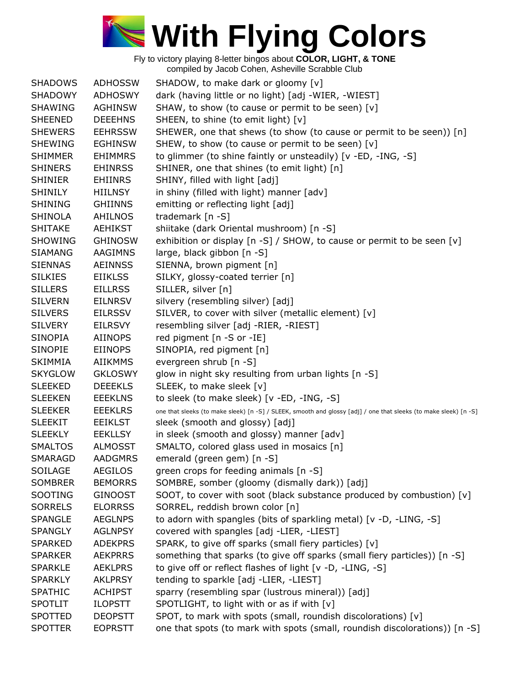

| <b>SHADOWS</b> | <b>ADHOSSW</b> | SHADOW, to make dark or gloomy [v]                                                                               |
|----------------|----------------|------------------------------------------------------------------------------------------------------------------|
| <b>SHADOWY</b> | ADHOSWY        | dark (having little or no light) [adj -WIER, -WIEST]                                                             |
| <b>SHAWING</b> | <b>AGHINSW</b> | SHAW, to show (to cause or permit to be seen) [v]                                                                |
| <b>SHEENED</b> | <b>DEEEHNS</b> | SHEEN, to shine (to emit light) [v]                                                                              |
| <b>SHEWERS</b> | <b>EEHRSSW</b> | SHEWER, one that shews (to show (to cause or permit to be seen)) [n]                                             |
| <b>SHEWING</b> | <b>EGHINSW</b> | SHEW, to show (to cause or permit to be seen) [v]                                                                |
| <b>SHIMMER</b> | <b>EHIMMRS</b> | to glimmer (to shine faintly or unsteadily) [v -ED, -ING, -S]                                                    |
| <b>SHINERS</b> | <b>EHINRSS</b> | SHINER, one that shines (to emit light) [n]                                                                      |
| <b>SHINIER</b> | <b>EHIINRS</b> | SHINY, filled with light [adj]                                                                                   |
| <b>SHINILY</b> | <b>HIILNSY</b> | in shiny (filled with light) manner [adv]                                                                        |
| <b>SHINING</b> | <b>GHIINNS</b> | emitting or reflecting light [adj]                                                                               |
| <b>SHINOLA</b> | AHILNOS        | trademark [n -S]                                                                                                 |
| <b>SHITAKE</b> | <b>AEHIKST</b> | shiitake (dark Oriental mushroom) [n -S]                                                                         |
| <b>SHOWING</b> | <b>GHINOSW</b> | exhibition or display [n -S] / SHOW, to cause or permit to be seen [v]                                           |
| <b>SIAMANG</b> | AAGIMNS        | large, black gibbon [n -S]                                                                                       |
| <b>SIENNAS</b> | <b>AEINNSS</b> |                                                                                                                  |
|                |                | SIENNA, brown pigment [n]                                                                                        |
| <b>SILKIES</b> | <b>EIIKLSS</b> | SILKY, glossy-coated terrier [n]                                                                                 |
| <b>SILLERS</b> | <b>EILLRSS</b> | SILLER, silver [n]                                                                                               |
| <b>SILVERN</b> | <b>EILNRSV</b> | silvery (resembling silver) [adj]                                                                                |
| <b>SILVERS</b> | <b>EILRSSV</b> | SILVER, to cover with silver (metallic element) [v]                                                              |
| <b>SILVERY</b> | <b>EILRSVY</b> | resembling silver [adj -RIER, -RIEST]                                                                            |
| <b>SINOPIA</b> | <b>AIINOPS</b> | red pigment [n -S or -IE]                                                                                        |
| <b>SINOPIE</b> | <b>EIINOPS</b> | SINOPIA, red pigment [n]                                                                                         |
| <b>SKIMMIA</b> | <b>AIIKMMS</b> | evergreen shrub [n -S]                                                                                           |
| <b>SKYGLOW</b> | <b>GKLOSWY</b> | glow in night sky resulting from urban lights [n -S]                                                             |
| <b>SLEEKED</b> | <b>DEEEKLS</b> | SLEEK, to make sleek [v]                                                                                         |
| <b>SLEEKEN</b> | <b>EEEKLNS</b> | to sleek (to make sleek) [v -ED, -ING, -S]                                                                       |
| <b>SLEEKER</b> | <b>EEEKLRS</b> | one that sleeks (to make sleek) [n -S] / SLEEK, smooth and glossy [adj] / one that sleeks (to make sleek) [n -S] |
| <b>SLEEKIT</b> | <b>EEIKLST</b> | sleek (smooth and glossy) [adj]                                                                                  |
| <b>SLEEKLY</b> | <b>EEKLLSY</b> | in sleek (smooth and glossy) manner [adv]                                                                        |
| <b>SMALTOS</b> | <b>ALMOSST</b> | SMALTO, colored glass used in mosaics [n]                                                                        |
| SMARAGD        | <b>AADGMRS</b> | emerald (green gem) [n -S]                                                                                       |
| SOILAGE        | <b>AEGILOS</b> | green crops for feeding animals [n -S]                                                                           |
| <b>SOMBRER</b> | <b>BEMORRS</b> | SOMBRE, somber (gloomy (dismally dark)) [adj]                                                                    |
| SOOTING        | <b>GINOOST</b> | SOOT, to cover with soot (black substance produced by combustion) [v]                                            |
| <b>SORRELS</b> | <b>ELORRSS</b> | SORREL, reddish brown color [n]                                                                                  |
| <b>SPANGLE</b> | <b>AEGLNPS</b> | to adorn with spangles (bits of sparkling metal) [v -D, -LING, -S]                                               |
| <b>SPANGLY</b> | <b>AGLNPSY</b> | covered with spangles [adj -LIER, -LIEST]                                                                        |
| <b>SPARKED</b> | <b>ADEKPRS</b> | SPARK, to give off sparks (small fiery particles) [v]                                                            |
| <b>SPARKER</b> | <b>AEKPRRS</b> | something that sparks (to give off sparks (small fiery particles)) [n -S]                                        |
| <b>SPARKLE</b> | <b>AEKLPRS</b> | to give off or reflect flashes of light [v -D, -LING, -S]                                                        |
| <b>SPARKLY</b> | <b>AKLPRSY</b> | tending to sparkle [adj -LIER, -LIEST]                                                                           |
| <b>SPATHIC</b> | <b>ACHIPST</b> | sparry (resembling spar (lustrous mineral)) [adj]                                                                |
| <b>SPOTLIT</b> | <b>ILOPSTT</b> | SPOTLIGHT, to light with or as if with [v]                                                                       |
| <b>SPOTTED</b> | <b>DEOPSTT</b> | SPOT, to mark with spots (small, roundish discolorations) [v]                                                    |
| <b>SPOTTER</b> | <b>EOPRSTT</b> | one that spots (to mark with spots (small, roundish discolorations)) [n -S]                                      |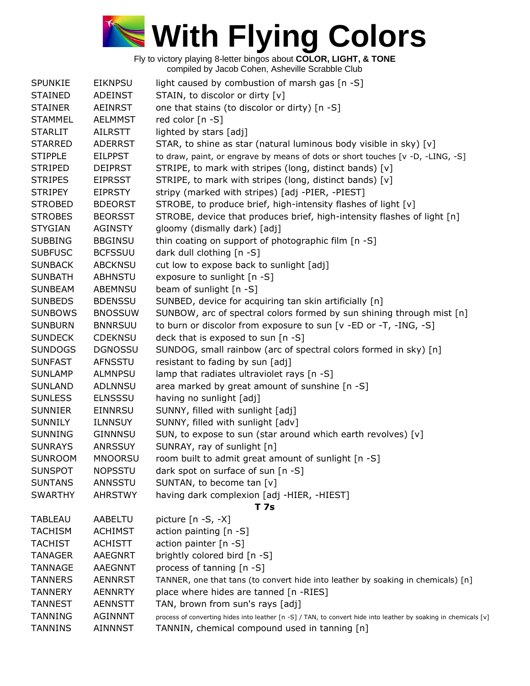

| <b>SPUNKIE</b> | <b>EIKNPSU</b> | light caused by combustion of marsh gas [n -S]                                                                  |
|----------------|----------------|-----------------------------------------------------------------------------------------------------------------|
| <b>STAINED</b> | ADEINST        | STAIN, to discolor or dirty [v]                                                                                 |
| <b>STAINER</b> | <b>AEINRST</b> | one that stains (to discolor or dirty) [n -S]                                                                   |
| <b>STAMMEL</b> | <b>AELMMST</b> | red color [n -S]                                                                                                |
| <b>STARLIT</b> | AILRSTT        | lighted by stars [adj]                                                                                          |
| <b>STARRED</b> | <b>ADERRST</b> | STAR, to shine as star (natural luminous body visible in sky) [v]                                               |
| <b>STIPPLE</b> | <b>EILPPST</b> | to draw, paint, or engrave by means of dots or short touches [v -D, -LING, -S]                                  |
| <b>STRIPED</b> | <b>DEIPRST</b> | STRIPE, to mark with stripes (long, distinct bands) [v]                                                         |
| <b>STRIPES</b> | <b>EIPRSST</b> | STRIPE, to mark with stripes (long, distinct bands) [v]                                                         |
| <b>STRIPEY</b> | <b>EIPRSTY</b> | stripy (marked with stripes) [adj -PIER, -PIEST]                                                                |
| <b>STROBED</b> | <b>BDEORST</b> | STROBE, to produce brief, high-intensity flashes of light [v]                                                   |
| <b>STROBES</b> | <b>BEORSST</b> | STROBE, device that produces brief, high-intensity flashes of light [n]                                         |
| <b>STYGIAN</b> | <b>AGINSTY</b> | gloomy (dismally dark) [adj]                                                                                    |
| <b>SUBBING</b> | <b>BBGINSU</b> | thin coating on support of photographic film [n -S]                                                             |
| <b>SUBFUSC</b> | <b>BCFSSUU</b> | dark dull clothing [n -S]                                                                                       |
| <b>SUNBACK</b> | <b>ABCKNSU</b> | cut low to expose back to sunlight [adj]                                                                        |
| <b>SUNBATH</b> | <b>ABHNSTU</b> | exposure to sunlight [n -S]                                                                                     |
| <b>SUNBEAM</b> | ABEMNSU        | beam of sunlight [n -S]                                                                                         |
| <b>SUNBEDS</b> | <b>BDENSSU</b> | SUNBED, device for acquiring tan skin artificially [n]                                                          |
| <b>SUNBOWS</b> | <b>BNOSSUW</b> | SUNBOW, arc of spectral colors formed by sun shining through mist [n]                                           |
| <b>SUNBURN</b> | <b>BNNRSUU</b> | to burn or discolor from exposure to sun [v -ED or -T, -ING, -S]                                                |
| <b>SUNDECK</b> | <b>CDEKNSU</b> | deck that is exposed to sun [n -S]                                                                              |
| <b>SUNDOGS</b> | <b>DGNOSSU</b> | SUNDOG, small rainbow (arc of spectral colors formed in sky) [n]                                                |
| <b>SUNFAST</b> | <b>AFNSSTU</b> | resistant to fading by sun [adj]                                                                                |
| <b>SUNLAMP</b> | <b>ALMNPSU</b> | lamp that radiates ultraviolet rays [n -S]                                                                      |
| <b>SUNLAND</b> | ADLNNSU        | area marked by great amount of sunshine [n -S]                                                                  |
| <b>SUNLESS</b> | <b>ELNSSSU</b> | having no sunlight [adj]                                                                                        |
| <b>SUNNIER</b> | <b>EINNRSU</b> | SUNNY, filled with sunlight [adj]                                                                               |
| <b>SUNNILY</b> | <b>ILNNSUY</b> | SUNNY, filled with sunlight [adv]                                                                               |
| <b>SUNNING</b> | GINNNSU        | SUN, to expose to sun (star around which earth revolves) [v]                                                    |
| <b>SUNRAYS</b> | <b>ANRSSUY</b> | SUNRAY, ray of sunlight [n]                                                                                     |
| <b>SUNROOM</b> | <b>MNOORSU</b> | room built to admit great amount of sunlight [n -S]                                                             |
| <b>SUNSPOT</b> | <b>NOPSSTU</b> | dark spot on surface of sun [n -S]                                                                              |
| <b>SUNTANS</b> | ANNSSTU        | SUNTAN, to become tan [v]                                                                                       |
| <b>SWARTHY</b> | <b>AHRSTWY</b> | having dark complexion [adj -HIER, -HIEST]                                                                      |
|                |                | T 7s                                                                                                            |
| <b>TABLEAU</b> | AABELTU        | picture $[n -S, -X]$                                                                                            |
| TACHISM        | <b>ACHIMST</b> | action painting [n -S]                                                                                          |
| <b>TACHIST</b> | <b>ACHISTT</b> | action painter [n -S]                                                                                           |
| <b>TANAGER</b> | <b>AAEGNRT</b> | brightly colored bird [n -S]                                                                                    |
| <b>TANNAGE</b> | <b>AAEGNNT</b> | process of tanning [n -S]                                                                                       |
| <b>TANNERS</b> | <b>AENNRST</b> | TANNER, one that tans (to convert hide into leather by soaking in chemicals) [n]                                |
| <b>TANNERY</b> | <b>AENNRTY</b> | place where hides are tanned [n -RIES]                                                                          |
| <b>TANNEST</b> | <b>AENNSTT</b> | TAN, brown from sun's rays [adj]                                                                                |
| <b>TANNING</b> | <b>AGINNNT</b> | process of converting hides into leather [n -S] / TAN, to convert hide into leather by soaking in chemicals [v] |
| <b>TANNINS</b> | <b>AINNNST</b> | TANNIN, chemical compound used in tanning [n]                                                                   |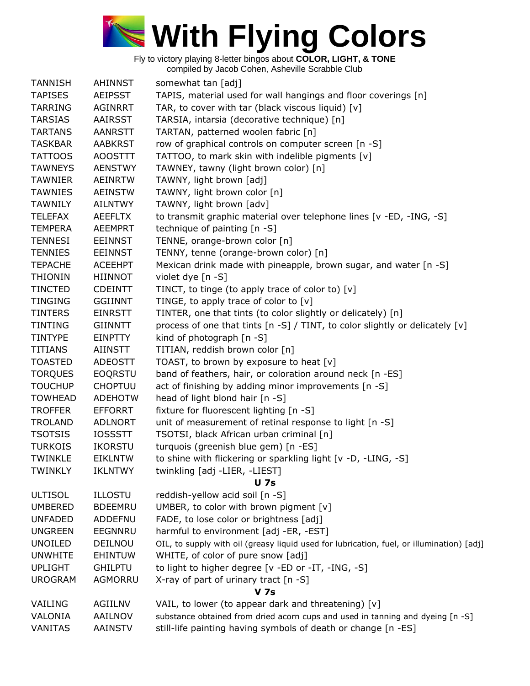

| <b>TANNISH</b> | <b>AHINNST</b> | somewhat tan [adj]                                                                        |
|----------------|----------------|-------------------------------------------------------------------------------------------|
| <b>TAPISES</b> | <b>AEIPSST</b> | TAPIS, material used for wall hangings and floor coverings [n]                            |
| <b>TARRING</b> | <b>AGINRRT</b> | TAR, to cover with tar (black viscous liquid) [v]                                         |
| <b>TARSIAS</b> | AAIRSST        | TARSIA, intarsia (decorative technique) [n]                                               |
| <b>TARTANS</b> | <b>AANRSTT</b> | TARTAN, patterned woolen fabric [n]                                                       |
| <b>TASKBAR</b> | <b>AABKRST</b> | row of graphical controls on computer screen [n -S]                                       |
| <b>TATTOOS</b> | <b>AOOSTTT</b> | TATTOO, to mark skin with indelible pigments [v]                                          |
| <b>TAWNEYS</b> | <b>AENSTWY</b> | TAWNEY, tawny (light brown color) [n]                                                     |
| <b>TAWNIER</b> | <b>AEINRTW</b> | TAWNY, light brown [adj]                                                                  |
| <b>TAWNIES</b> | <b>AEINSTW</b> | TAWNY, light brown color [n]                                                              |
| <b>TAWNILY</b> | <b>AILNTWY</b> | TAWNY, light brown [adv]                                                                  |
| <b>TELEFAX</b> | <b>AEEFLTX</b> | to transmit graphic material over telephone lines [v -ED, -ING, -S]                       |
| <b>TEMPERA</b> | <b>AEEMPRT</b> | technique of painting [n -S]                                                              |
| <b>TENNESI</b> | <b>EEINNST</b> | TENNE, orange-brown color [n]                                                             |
| <b>TENNIES</b> | <b>EEINNST</b> | TENNY, tenne (orange-brown color) [n]                                                     |
| <b>TEPACHE</b> | <b>ACEEHPT</b> | Mexican drink made with pineapple, brown sugar, and water [n -S]                          |
| <b>THIONIN</b> |                |                                                                                           |
|                | HIINNOT        | violet dye [n -S]                                                                         |
| <b>TINCTED</b> | <b>CDEINTT</b> | TINCT, to tinge (to apply trace of color to) [v]                                          |
| <b>TINGING</b> | <b>GGIINNT</b> | TINGE, to apply trace of color to $[v]$                                                   |
| <b>TINTERS</b> | <b>EINRSTT</b> | TINTER, one that tints (to color slightly or delicately) [n]                              |
| <b>TINTING</b> | <b>GIINNTT</b> | process of one that tints [n -S] / TINT, to color slightly or delicately [v]              |
| <b>TINTYPE</b> | <b>EINPTTY</b> | kind of photograph [n -S]                                                                 |
| <b>TITIANS</b> | <b>AIINSTT</b> | TITIAN, reddish brown color [n]                                                           |
| <b>TOASTED</b> | <b>ADEOSTT</b> | TOAST, to brown by exposure to heat [v]                                                   |
| <b>TORQUES</b> | <b>EOQRSTU</b> | band of feathers, hair, or coloration around neck [n -ES]                                 |
| <b>TOUCHUP</b> | <b>CHOPTUU</b> | act of finishing by adding minor improvements [n -S]                                      |
| <b>TOWHEAD</b> | <b>ADEHOTW</b> | head of light blond hair [n -S]                                                           |
| <b>TROFFER</b> | <b>EFFORRT</b> | fixture for fluorescent lighting [n -S]                                                   |
| <b>TROLAND</b> | <b>ADLNORT</b> | unit of measurement of retinal response to light [n -S]                                   |
| <b>TSOTSIS</b> | <b>IOSSSTT</b> | TSOTSI, black African urban criminal [n]                                                  |
| <b>TURKOIS</b> | <b>IKORSTU</b> | turquois (greenish blue gem) [n -ES]                                                      |
| TWINKLE        | <b>EIKLNTW</b> | to shine with flickering or sparkling light [v -D, -LING, -S]                             |
| <b>TWINKLY</b> | <b>IKLNTWY</b> | twinkling [adj -LIER, -LIEST]                                                             |
|                |                | <b>U</b> 7s                                                                               |
| <b>ULTISOL</b> | <b>ILLOSTU</b> | reddish-yellow acid soil [n -S]                                                           |
| <b>UMBERED</b> | <b>BDEEMRU</b> | UMBER, to color with brown pigment $[v]$                                                  |
| <b>UNFADED</b> | <b>ADDEFNU</b> | FADE, to lose color or brightness [adj]                                                   |
| <b>UNGREEN</b> | EEGNNRU        | harmful to environment [adj -ER, -EST]                                                    |
| <b>UNOILED</b> | DEILNOU        | OIL, to supply with oil (greasy liquid used for lubrication, fuel, or illumination) [adj] |
| <b>UNWHITE</b> | <b>EHINTUW</b> | WHITE, of color of pure snow [adj]                                                        |
| <b>UPLIGHT</b> | <b>GHILPTU</b> | to light to higher degree [v -ED or -IT, -ING, -S]                                        |
| <b>UROGRAM</b> | AGMORRU        | X-ray of part of urinary tract [n -S]                                                     |
|                |                | <b>V</b> 7s                                                                               |
| VAILING        | AGIILNV        | VAIL, to lower (to appear dark and threatening) [v]                                       |
| VALONIA        | AAILNOV        | substance obtained from dried acorn cups and used in tanning and dyeing [n -S]            |
| VANITAS        | <b>AAINSTV</b> | still-life painting having symbols of death or change [n -ES]                             |
|                |                |                                                                                           |